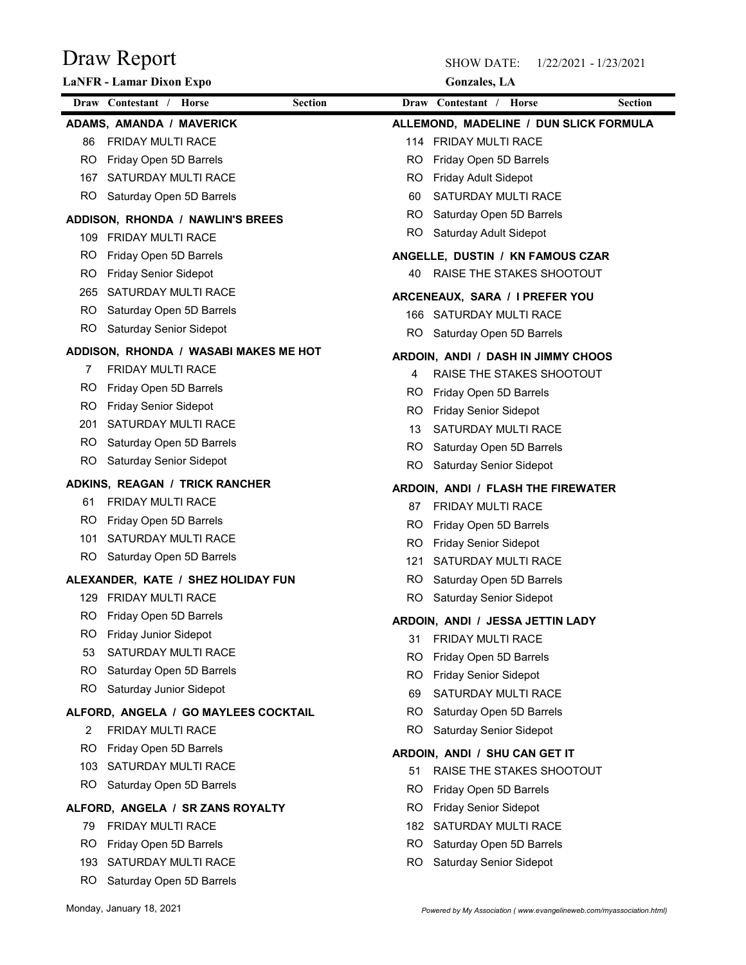| Draw Report<br><b>LaNFR - Lamar Dixon Expo</b>      |                |           | <b>SHOW DATE:</b><br><b>Gonzales</b> , LA              | 1/22/2021 - 1/23/2021 |
|-----------------------------------------------------|----------------|-----------|--------------------------------------------------------|-----------------------|
| Draw Contestant / Horse                             | <b>Section</b> |           | Draw Contestant / Horse                                | Section               |
| <b>ADAMS, AMANDA / MAVERICK</b>                     |                |           | ALLEMOND, MADELINE / DUN SLICK FORMULA                 |                       |
| FRIDAY MULTI RACE<br>86                             |                |           | 114 FRIDAY MULTI RACE                                  |                       |
| Friday Open 5D Barrels<br>RO                        |                | RO        | Friday Open 5D Barrels                                 |                       |
| SATURDAY MULTI RACE<br>167                          |                | RO        | Friday Adult Sidepot                                   |                       |
| Saturday Open 5D Barrels<br>R <sub>O</sub>          |                | 60        | SATURDAY MULTI RACE                                    |                       |
| ADDISON, RHONDA / NAWLIN'S BREES                    |                | RO        | Saturday Open 5D Barrels                               |                       |
| FRIDAY MULTI RACE<br>109                            |                | RO        | Saturday Adult Sidepot                                 |                       |
| <b>RO</b><br>Friday Open 5D Barrels                 |                |           | ANGELLE, DUSTIN / KN FAMOUS CZAR                       |                       |
| Friday Senior Sidepot<br>RO                         |                | 40        | RAISE THE STAKES SHOOTOUT                              |                       |
| SATURDAY MULTI RACE<br>265                          |                |           | ARCENEAUX, SARA / I PREFER YOU                         |                       |
| Saturday Open 5D Barrels<br>RO                      |                |           | 166 SATURDAY MULTI RACE                                |                       |
| <b>RO</b><br>Saturday Senior Sidepot                |                |           | RO Saturday Open 5D Barrels                            |                       |
| ADDISON, RHONDA / WASABI MAKES ME HOT               |                |           | ARDOIN, ANDI / DASH IN JIMMY CHOOS                     |                       |
| FRIDAY MULTI RACE                                   |                | 4         | RAISE THE STAKES SHOOTOUT                              |                       |
| Friday Open 5D Barrels<br>RO<br>RO                  |                | RO        | Friday Open 5D Barrels                                 |                       |
| Friday Senior Sidepot<br>SATURDAY MULTI RACE<br>201 |                | RO        | <b>Friday Senior Sidepot</b>                           |                       |
| Saturday Open 5D Barrels<br>RO                      |                | 13        | SATURDAY MULTI RACE                                    |                       |
| <b>RO</b><br>Saturday Senior Sidepot                |                | RO        | Saturday Open 5D Barrels                               |                       |
| ADKINS, REAGAN / TRICK RANCHER                      |                | <b>RO</b> | Saturday Senior Sidepot                                |                       |
| FRIDAY MULTI RACE<br>61                             |                |           | ARDOIN, ANDI / FLASH THE FIREWATER                     |                       |
| Friday Open 5D Barrels<br>RO                        |                | 87        | FRIDAY MULTI RACE                                      |                       |
| SATURDAY MULTI RACE<br>101                          |                | RO<br>RO  | Friday Open 5D Barrels<br><b>Friday Senior Sidepot</b> |                       |
| Saturday Open 5D Barrels<br>RO.                     |                | 121       | SATURDAY MULTI RACE                                    |                       |
| ALEXANDER, KATE / SHEZ HOLIDAY FUN                  |                | RO        | Saturday Open 5D Barrels                               |                       |
| FRIDAY MULTI RACE<br>129                            |                | <b>RO</b> | Saturday Senior Sidepot                                |                       |
| Friday Open 5D Barrels<br>RO                        |                |           | ARDOIN, ANDI / JESSA JETTIN LADY                       |                       |
| Friday Junior Sidepot<br>RO                         |                | 31        | FRIDAY MULTI RACE                                      |                       |
| SATURDAY MULTI RACE<br>53                           |                | RO        | Friday Open 5D Barrels                                 |                       |
| RO<br>Saturday Open 5D Barrels                      |                | RO        | <b>Friday Senior Sidepot</b>                           |                       |
| <b>RO</b><br>Saturday Junior Sidepot                |                | 69        | SATURDAY MULTI RACE                                    |                       |
| ALFORD, ANGELA / GO MAYLEES COCKTAIL                |                | RO        | Saturday Open 5D Barrels                               |                       |
| FRIDAY MULTI RACE<br>2                              |                | <b>RO</b> | Saturday Senior Sidepot                                |                       |
| Friday Open 5D Barrels<br>RO                        |                |           | ARDOIN, ANDI / SHU CAN GET IT                          |                       |
| SATURDAY MULTI RACE<br>103                          |                | 51        | RAISE THE STAKES SHOOTOUT                              |                       |
| Saturday Open 5D Barrels<br>RO.                     |                | RO.       | Friday Open 5D Barrels                                 |                       |
| ALFORD, ANGELA / SR ZANS ROYALTY                    |                | RO        | <b>Friday Senior Sidepot</b>                           |                       |
| FRIDAY MULTI RACE<br>79                             |                | 182       | <b>SATURDAY MULTI RACE</b>                             |                       |
| Friday Open 5D Barrels<br>RO.                       |                | RO.       | Saturday Open 5D Barrels                               |                       |

RO Saturday Senior Sidepot

193 SATURDAY MULTI RACE RO Saturday Open 5D Barrels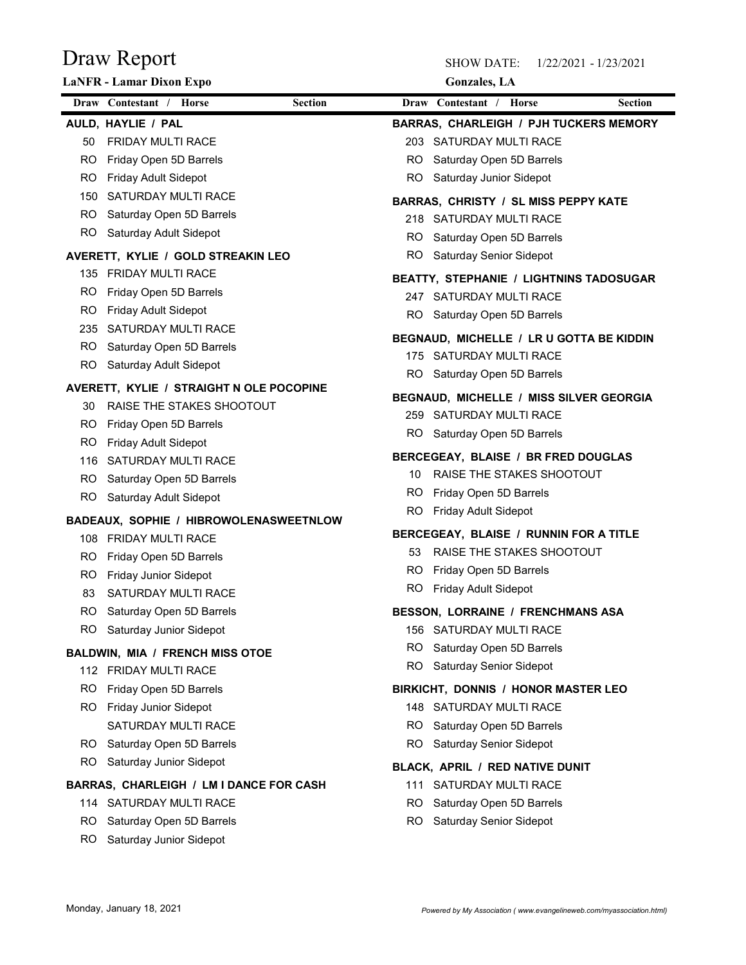| Draw Report                                                |                | <b>SHOW DATE:</b>                                   | 1/22/2021 - 1/23/2021 |
|------------------------------------------------------------|----------------|-----------------------------------------------------|-----------------------|
| LaNFR - Lamar Dixon Expo                                   |                | <b>Gonzales</b> , LA                                |                       |
| Draw Contestant / Horse                                    | <b>Section</b> | Draw Contestant / Horse                             | <b>Section</b>        |
| AULD, HAYLIE / PAL                                         |                | BARRAS, CHARLEIGH / PJH TUCKERS MEMORY              |                       |
| FRIDAY MULTI RACE<br>50                                    |                | 203 SATURDAY MULTI RACE                             |                       |
| Friday Open 5D Barrels<br>RO<br>Friday Adult Sidepot<br>RO | RO<br>RO.      | Saturday Open 5D Barrels<br>Saturday Junior Sidepot |                       |
| SATURDAY MULTI RACE<br>150                                 |                |                                                     |                       |
| Saturday Open 5D Barrels<br>RO.                            |                | BARRAS, CHRISTY / SL MISS PEPPY KATE                |                       |
| RO.<br>Saturday Adult Sidepot                              | RO.            | 218 SATURDAY MULTI RACE<br>Saturday Open 5D Barrels |                       |
| AVERETT, KYLIE / GOLD STREAKIN LEO                         | RO             | Saturday Senior Sidepot                             |                       |
| 135 FRIDAY MULTI RACE                                      |                |                                                     |                       |
| RO.<br>Friday Open 5D Barrels                              |                | BEATTY, STEPHANIE / LIGHTNINS TADOSUGAR             |                       |
| RO.<br>Friday Adult Sidepot                                | 247            | SATURDAY MULTI RACE                                 |                       |
| 235 SATURDAY MULTI RACE                                    | RO.            | Saturday Open 5D Barrels                            |                       |
| Saturday Open 5D Barrels<br>RO.                            |                | BEGNAUD, MICHELLE / LR U GOTTA BE KIDDIN            |                       |
| <b>RO</b><br>Saturday Adult Sidepot                        |                | 175 SATURDAY MULTI RACE                             |                       |
| AVERETT, KYLIE / STRAIGHT N OLE POCOPINE                   |                | RO Saturday Open 5D Barrels                         |                       |
| RAISE THE STAKES SHOOTOUT<br>30                            |                | BEGNAUD, MICHELLE / MISS SILVER GEORGIA             |                       |
| RO.<br>Friday Open 5D Barrels                              |                | 259 SATURDAY MULTI RACE                             |                       |
| <b>Friday Adult Sidepot</b><br>RO.                         | RO.            | Saturday Open 5D Barrels                            |                       |
| SATURDAY MULTI RACE<br>116                                 |                | BERCEGEAY, BLAISE / BR FRED DOUGLAS                 |                       |
| Saturday Open 5D Barrels<br>RO.                            | 10             | RAISE THE STAKES SHOOTOUT                           |                       |
| <b>RO</b><br>Saturday Adult Sidepot                        | RO.            | Friday Open 5D Barrels                              |                       |
| BADEAUX, SOPHIE / HIBROWOLENASWEETNLOW                     | <b>RO</b>      | Friday Adult Sidepot                                |                       |
| 108 FRIDAY MULTI RACE                                      |                | BERCEGEAY, BLAISE / RUNNIN FOR A TITLE              |                       |
| Friday Open 5D Barrels<br>RO.                              | 53             | RAISE THE STAKES SHOOTOUT                           |                       |
| Friday Junior Sidepot<br>RO.                               | RO.            | Friday Open 5D Barrels                              |                       |
| SATURDAY MULTI RACE<br>83                                  | RO.            | <b>Friday Adult Sidepot</b>                         |                       |
| Saturday Open 5D Barrels<br>RO.                            |                | BESSON, LORRAINE / FRENCHMANS ASA                   |                       |
| RO.<br>Saturday Junior Sidepot                             |                | 156 SATURDAY MULTI RACE                             |                       |
| <b>BALDWIN, MIA / FRENCH MISS OTOE</b>                     | RO.            | Saturday Open 5D Barrels                            |                       |
| 112 FRIDAY MULTI RACE                                      | RO.            | <b>Saturday Senior Sidepot</b>                      |                       |
| RO.<br>Friday Open 5D Barrels                              |                | BIRKICHT, DONNIS / HONOR MASTER LEO                 |                       |
| RO.<br><b>Friday Junior Sidepot</b>                        |                | 148 SATURDAY MULTI RACE                             |                       |
| SATURDAY MULTI RACE                                        | RO.            | Saturday Open 5D Barrels                            |                       |
| Saturday Open 5D Barrels<br>RO.                            | RO.            | Saturday Senior Sidepot                             |                       |
| Saturday Junior Sidepot<br>RO.                             |                | BLACK, APRIL / RED NATIVE DUNIT                     |                       |
| BARRAS, CHARLEIGH / LM I DANCE FOR CASH                    |                | 111 SATURDAY MULTI RACE                             |                       |
| 114 SATURDAY MULTI RACE                                    | RO.            | Saturday Open 5D Barrels                            |                       |
| Saturday Open 5D Barrels<br>RO.                            | RO.            | Saturday Senior Sidepot                             |                       |
| RO Saturday Junior Sidepot                                 |                |                                                     |                       |
|                                                            |                |                                                     |                       |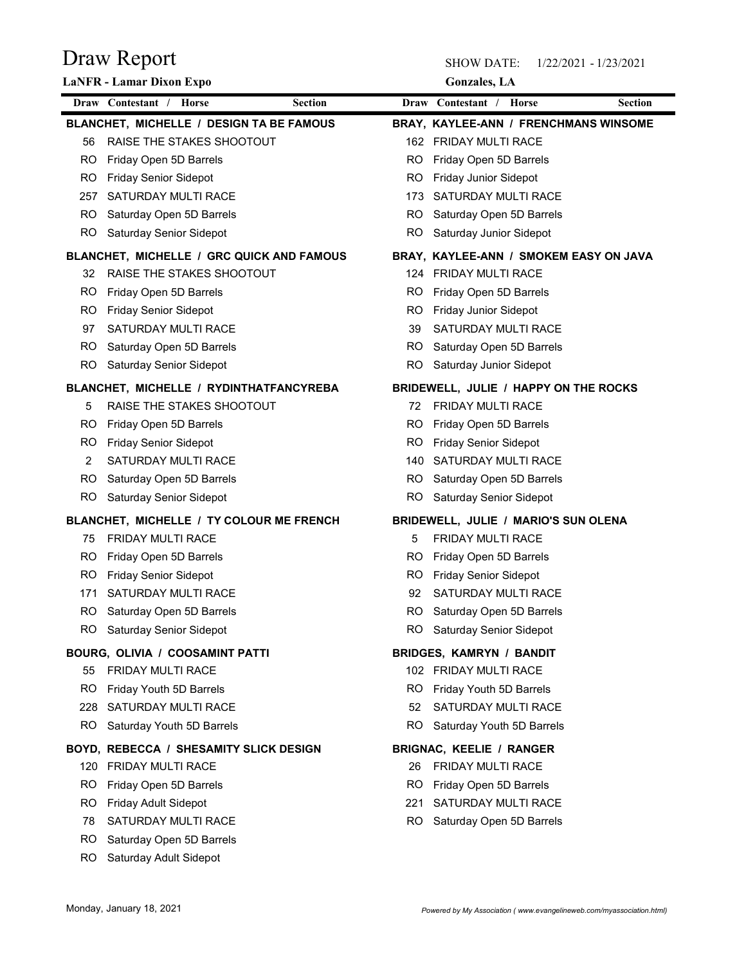|            | Draw Report                                                           |           | <b>SHOW DATE:</b><br>1/22/2021 - 1/23/2021                        |
|------------|-----------------------------------------------------------------------|-----------|-------------------------------------------------------------------|
|            | LaNFR - Lamar Dixon Expo<br>Draw Contestant / Horse<br><b>Section</b> |           | <b>Gonzales</b> , LA<br>Draw Contestant / Horse<br><b>Section</b> |
|            | BLANCHET, MICHELLE / DESIGN TA BE FAMOUS                              |           | BRAY, KAYLEE-ANN / FRENCHMANS WINSOME                             |
| 56         | RAISE THE STAKES SHOOTOUT                                             | 162       | <b>FRIDAY MULTI RACE</b>                                          |
| RO.        | Friday Open 5D Barrels                                                | RO        | Friday Open 5D Barrels                                            |
| RO.        | <b>Friday Senior Sidepot</b>                                          | RO        | Friday Junior Sidepot                                             |
| 257        | SATURDAY MULTI RACE                                                   | 173       | SATURDAY MULTI RACE                                               |
| RO.        | Saturday Open 5D Barrels                                              | RO.       | Saturday Open 5D Barrels                                          |
| RO         | Saturday Senior Sidepot                                               | RO        | Saturday Junior Sidepot                                           |
|            | BLANCHET, MICHELLE / GRC QUICK AND FAMOUS                             |           | BRAY, KAYLEE-ANN / SMOKEM EASY ON JAVA                            |
| 32         | RAISE THE STAKES SHOOTOUT                                             | 124       | <b>FRIDAY MULTI RACE</b>                                          |
| RO.        | Friday Open 5D Barrels                                                | RO        | Friday Open 5D Barrels                                            |
| RO.        | <b>Friday Senior Sidepot</b>                                          | RO        | Friday Junior Sidepot                                             |
| 97         | SATURDAY MULTI RACE                                                   | 39        | SATURDAY MULTI RACE                                               |
| RO.        | Saturday Open 5D Barrels                                              | RO.       | Saturday Open 5D Barrels                                          |
| <b>RO</b>  | Saturday Senior Sidepot                                               | <b>RO</b> | Saturday Junior Sidepot                                           |
|            | BLANCHET, MICHELLE / RYDINTHATFANCYREBA                               |           | BRIDEWELL, JULIE / HAPPY ON THE ROCKS                             |
| 5          | RAISE THE STAKES SHOOTOUT                                             | 72        | FRIDAY MULTI RACE                                                 |
| RO.        | Friday Open 5D Barrels                                                | RO.       | Friday Open 5D Barrels                                            |
| RO.        | <b>Friday Senior Sidepot</b>                                          | RO.       | <b>Friday Senior Sidepot</b>                                      |
| 2          | SATURDAY MULTI RACE                                                   | 140       | SATURDAY MULTI RACE                                               |
| RO.        | Saturday Open 5D Barrels                                              | RO.       | Saturday Open 5D Barrels                                          |
| RO         | Saturday Senior Sidepot                                               | RO        | Saturday Senior Sidepot                                           |
|            | BLANCHET, MICHELLE / TY COLOUR ME FRENCH                              |           | BRIDEWELL, JULIE / MARIO'S SUN OLENA                              |
| 75         | FRIDAY MULTI RACE                                                     | 5         | FRIDAY MULTI RACE                                                 |
| RO.        | Friday Open 5D Barrels                                                | RO.       | Friday Open 5D Barrels                                            |
| RO.        | <b>Friday Senior Sidepot</b>                                          | RO.       | <b>Friday Senior Sidepot</b>                                      |
| 171<br>RO. | SATURDAY MULTI RACE<br>Saturday Open 5D Barrels                       | 92<br>RO. | SATURDAY MULTI RACE<br>Saturday Open 5D Barrels                   |
| RO.        | Saturday Senior Sidepot                                               | RO.       | Saturday Senior Sidepot                                           |
|            |                                                                       |           |                                                                   |
|            | BOURG, OLIVIA / COOSAMINT PATTI<br>FRIDAY MULTI RACE                  |           | <b>BRIDGES, KAMRYN / BANDIT</b><br>102 FRIDAY MULTI RACE          |
| 55<br>RO.  | Friday Youth 5D Barrels                                               | RO.       | Friday Youth 5D Barrels                                           |
| 228        | SATURDAY MULTI RACE                                                   | 52        | SATURDAY MULTI RACE                                               |
| RO.        | Saturday Youth 5D Barrels                                             | RO.       | Saturday Youth 5D Barrels                                         |
|            | BOYD, REBECCA / SHESAMITY SLICK DESIGN                                |           |                                                                   |
|            | 120 FRIDAY MULTI RACE                                                 | 26        | <b>BRIGNAC, KEELIE / RANGER</b><br>FRIDAY MULTI RACE              |
| RO.        | Friday Open 5D Barrels                                                | RO.       | Friday Open 5D Barrels                                            |
| RO.        | Friday Adult Sidepot                                                  | 221       | SATURDAY MULTI RACE                                               |
| 78         | SATURDAY MULTI RACE                                                   | RO.       | Saturday Open 5D Barrels                                          |
| RO.        | Saturday Open 5D Barrels                                              |           |                                                                   |
| RO         | Saturday Adult Sidepot                                                |           |                                                                   |
|            |                                                                       |           |                                                                   |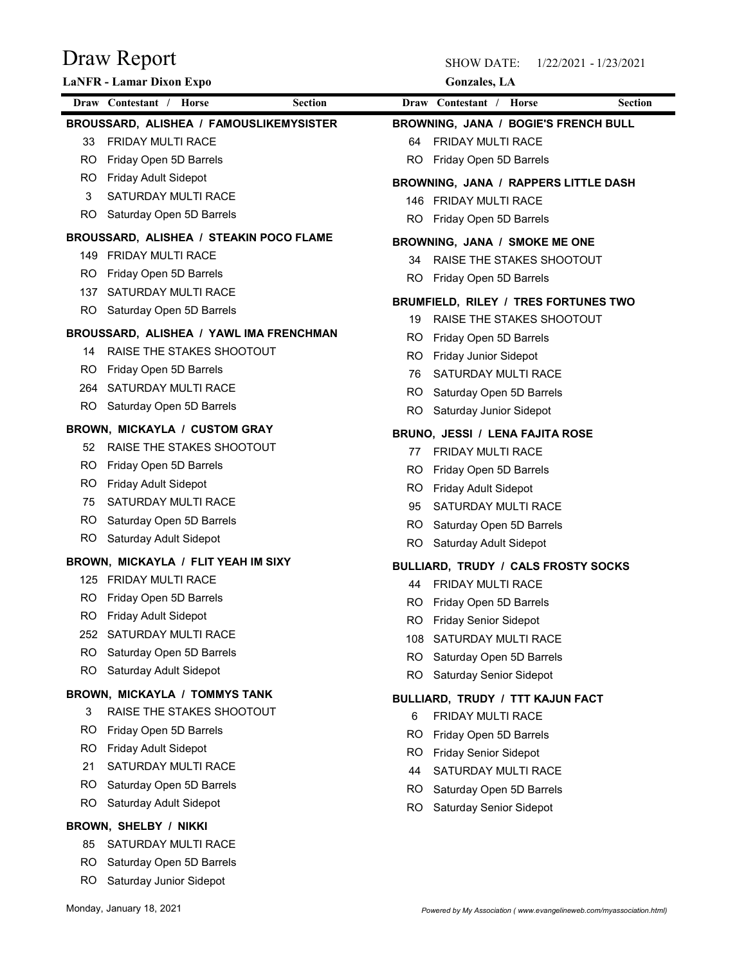| Draw Report                                                      | <b>SHOW DATE:</b><br>1/22/2021 - 1/23/2021                   |
|------------------------------------------------------------------|--------------------------------------------------------------|
| LaNFR - Lamar Dixon Expo                                         | <b>Gonzales</b> , LA                                         |
| Draw Contestant / Horse                                          | Draw Contestant / Horse                                      |
| <b>Section</b>                                                   | <b>Section</b>                                               |
| BROUSSARD, ALISHEA / FAMOUSLIKEMYSISTER                          | BROWNING, JANA / BOGIE'S FRENCH BULL                         |
| <b>FRIDAY MULTI RACE</b>                                         | FRIDAY MULTI RACE                                            |
| 33                                                               | 64                                                           |
| Friday Open 5D Barrels<br>RO.<br>Friday Adult Sidepot<br>RO.     | RO.<br>Friday Open 5D Barrels                                |
| SATURDAY MULTI RACE<br>3                                         | BROWNING, JANA / RAPPERS LITTLE DASH                         |
| Saturday Open 5D Barrels                                         | <b>FRIDAY MULTI RACE</b>                                     |
| RO.                                                              | 146                                                          |
|                                                                  | Friday Open 5D Barrels<br>RO.                                |
| BROUSSARD, ALISHEA / STEAKIN POCO FLAME<br>149 FRIDAY MULTI RACE | BROWNING, JANA / SMOKE ME ONE                                |
| Friday Open 5D Barrels                                           | RAISE THE STAKES SHOOTOUT                                    |
| RO.                                                              | 34                                                           |
| SATURDAY MULTI RACE                                              | RO.                                                          |
| 137                                                              | Friday Open 5D Barrels                                       |
| Saturday Open 5D Barrels<br>RO.                                  | BRUMFIELD, RILEY / TRES FORTUNES TWO                         |
| BROUSSARD, ALISHEA / YAWL IMA FRENCHMAN                          | RAISE THE STAKES SHOOTOUT<br>19                              |
| RAISE THE STAKES SHOOTOUT                                        | Friday Open 5D Barrels                                       |
| 14                                                               | RO.                                                          |
| RO.                                                              | Friday Junior Sidepot                                        |
| Friday Open 5D Barrels                                           | RO.                                                          |
| SATURDAY MULTI RACE<br>264                                       | SATURDAY MULTI RACE<br>76<br>RO.<br>Saturday Open 5D Barrels |
| RO.                                                              | <b>RO</b>                                                    |
| Saturday Open 5D Barrels                                         | Saturday Junior Sidepot                                      |
| <b>BROWN, MICKAYLA / CUSTOM GRAY</b>                             |                                                              |
| RAISE THE STAKES SHOOTOUT                                        | BRUNO, JESSI / LENA FAJITA ROSE                              |
| 52                                                               | FRIDAY MULTI RACE                                            |
| Friday Open 5D Barrels<br>RO.                                    | 77<br>Friday Open 5D Barrels<br>RO.                          |
| RO.                                                              | Friday Adult Sidepot                                         |
| Friday Adult Sidepot                                             | RO.                                                          |
| SATURDAY MULTI RACE                                              | SATURDAY MULTI RACE                                          |
| 75                                                               | 95                                                           |
| Saturday Open 5D Barrels                                         | <b>RO</b>                                                    |
| RO.                                                              | Saturday Open 5D Barrels                                     |
| RO.                                                              | RO.                                                          |
| Saturday Adult Sidepot                                           | Saturday Adult Sidepot                                       |
| BROWN, MICKAYLA / FLIT YEAH IM SIXY                              | BULLIARD, TRUDY / CALS FROSTY SOCKS                          |
| 125 FRIDAY MULTI RACE                                            | FRIDAY MULTI RACE<br>44                                      |
| Friday Open 5D Barrels                                           | Friday Open 5D Barrels                                       |
| RO.                                                              | RO.                                                          |
| RO.                                                              | <b>Friday Senior Sidepot</b>                                 |
| Friday Adult Sidepot                                             | RO.                                                          |
| SATURDAY MULTI RACE                                              | SATURDAY MULTI RACE                                          |
| 252                                                              | 108                                                          |
| RO.                                                              | <b>RO</b>                                                    |
| Saturday Open 5D Barrels                                         | Saturday Open 5D Barrels                                     |
| RO.                                                              | RO                                                           |
| Saturday Adult Sidepot                                           | Saturday Senior Sidepot                                      |
| BROWN, MICKAYLA / TOMMYS TANK                                    | BULLIARD, TRUDY / TTT KAJUN FACT                             |
| RAISE THE STAKES SHOOTOUT                                        | FRIDAY MULTI RACE                                            |
| 3                                                                | 6                                                            |
| RO.                                                              | Friday Open 5D Barrels                                       |
| Friday Open 5D Barrels                                           | RO.                                                          |
| RO.                                                              | <b>Friday Senior Sidepot</b>                                 |
| Friday Adult Sidepot                                             | RO.                                                          |
| SATURDAY MULTI RACE                                              | SATURDAY MULTI RACE                                          |
| 21                                                               | 44                                                           |
| Saturday Open 5D Barrels                                         | <b>RO</b>                                                    |
| RO.                                                              | Saturday Open 5D Barrels                                     |
| RO.                                                              | Saturday Senior Sidepot                                      |
| Saturday Adult Sidepot                                           | RO.                                                          |
| BROWN, SHELBY / NIKKI                                            |                                                              |
| SATURDAY MULTI RACE<br>85                                        |                                                              |
| RO.<br>Saturday Open 5D Barrels                                  |                                                              |
| RO Saturday Junior Sidepot                                       |                                                              |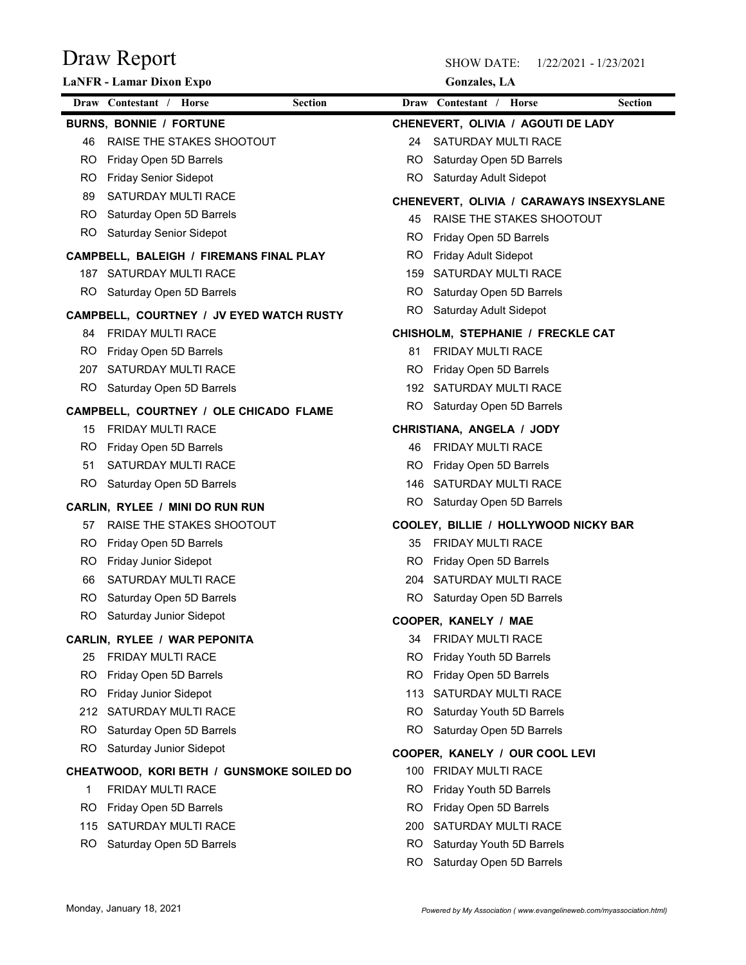| Draw Report                                                        | <b>SHOW DATE:</b><br>1/22/2021 - 1/23/2021                 |                |
|--------------------------------------------------------------------|------------------------------------------------------------|----------------|
| LaNFR - Lamar Dixon Expo                                           | <b>Gonzales</b> , LA                                       |                |
| Draw Contestant / Horse                                            | Draw Contestant / Horse<br><b>Section</b>                  | <b>Section</b> |
| <b>BURNS, BONNIE / FORTUNE</b>                                     | CHENEVERT, OLIVIA / AGOUTI DE LADY                         |                |
| RAISE THE STAKES SHOOTOUT<br>46                                    | SATURDAY MULTI RACE<br>24                                  |                |
| Friday Open 5D Barrels<br>RO.                                      | Saturday Open 5D Barrels<br>RO                             |                |
| <b>Friday Senior Sidepot</b><br>RO.<br>SATURDAY MULTI RACE<br>89   | Saturday Adult Sidepot<br>RO                               |                |
| Saturday Open 5D Barrels<br>RO.                                    | CHENEVERT, OLIVIA / CARAWAYS INSEXYSLANE                   |                |
| RO.<br>Saturday Senior Sidepot                                     | RAISE THE STAKES SHOOTOUT<br>45                            |                |
| CAMPBELL, BALEIGH / FIREMANS FINAL PLAY                            | Friday Open 5D Barrels<br>RO<br>RO<br>Friday Adult Sidepot |                |
| SATURDAY MULTI RACE<br>187                                         | SATURDAY MULTI RACE<br>159                                 |                |
| Saturday Open 5D Barrels<br>RO.                                    | Saturday Open 5D Barrels<br>RO.                            |                |
|                                                                    | RO.<br>Saturday Adult Sidepot                              |                |
| CAMPBELL, COURTNEY / JV EYED WATCH RUSTY<br>FRIDAY MULTI RACE      | CHISHOLM, STEPHANIE / FRECKLE CAT                          |                |
| Friday Open 5D Barrels<br>RO.                                      | FRIDAY MULTI RACE<br>81                                    |                |
| SATURDAY MULTI RACE<br>207                                         | RO.<br>Friday Open 5D Barrels                              |                |
| Saturday Open 5D Barrels<br>RO.                                    | SATURDAY MULTI RACE<br>192                                 |                |
|                                                                    | RO.<br>Saturday Open 5D Barrels                            |                |
| CAMPBELL, COURTNEY / OLE CHICADO FLAME<br>FRIDAY MULTI RACE<br>15  | CHRISTIANA, ANGELA / JODY                                  |                |
| Friday Open 5D Barrels<br>RO.                                      | FRIDAY MULTI RACE<br>46                                    |                |
| SATURDAY MULTI RACE<br>51                                          | Friday Open 5D Barrels<br>RO.                              |                |
| RO.<br>Saturday Open 5D Barrels                                    | SATURDAY MULTI RACE<br>146                                 |                |
|                                                                    | RO.<br>Saturday Open 5D Barrels                            |                |
| CARLIN, RYLEE / MINI DO RUN RUN<br>RAISE THE STAKES SHOOTOUT<br>57 | COOLEY, BILLIE / HOLLYWOOD NICKY BAR                       |                |
| Friday Open 5D Barrels<br>RO.                                      | FRIDAY MULTI RACE<br>35                                    |                |
| Friday Junior Sidepot<br>RO.                                       | Friday Open 5D Barrels<br>RO.                              |                |
| SATURDAY MULTI RACE<br>66                                          | SATURDAY MULTI RACE<br>204                                 |                |
| RO.<br>Saturday Open 5D Barrels                                    | RO.<br>Saturday Open 5D Barrels                            |                |
| RO<br>Saturday Junior Sidepot                                      | COOPER, KANELY / MAE                                       |                |
| CARLIN, RYLEE / WAR PEPONITA                                       | FRIDAY MULTI RACE<br>34                                    |                |
| FRIDAY MULTI RACE<br>25                                            | RO.<br>Friday Youth 5D Barrels                             |                |
| Friday Open 5D Barrels<br>RO.                                      | Friday Open 5D Barrels<br>RO.                              |                |
| RO.<br>Friday Junior Sidepot                                       | SATURDAY MULTI RACE<br>113                                 |                |
| 212 SATURDAY MULTI RACE                                            | Saturday Youth 5D Barrels<br>RO.                           |                |
| RO.<br>Saturday Open 5D Barrels                                    | RO<br>Saturday Open 5D Barrels                             |                |
| RO.<br>Saturday Junior Sidepot                                     | COOPER, KANELY / OUR COOL LEVI                             |                |
| CHEATWOOD, KORI BETH / GUNSMOKE SOILED DO                          | 100 FRIDAY MULTI RACE                                      |                |
| FRIDAY MULTI RACE                                                  | Friday Youth 5D Barrels<br>RO.                             |                |
| Friday Open 5D Barrels<br>RO.                                      | Friday Open 5D Barrels<br>RO.                              |                |
| 115 SATURDAY MULTI RACE                                            | SATURDAY MULTI RACE<br>200                                 |                |
| Saturday Open 5D Barrels<br>RO.                                    | Saturday Youth 5D Barrels<br>RO.                           |                |
|                                                                    | RO<br>Saturday Open 5D Barrels                             |                |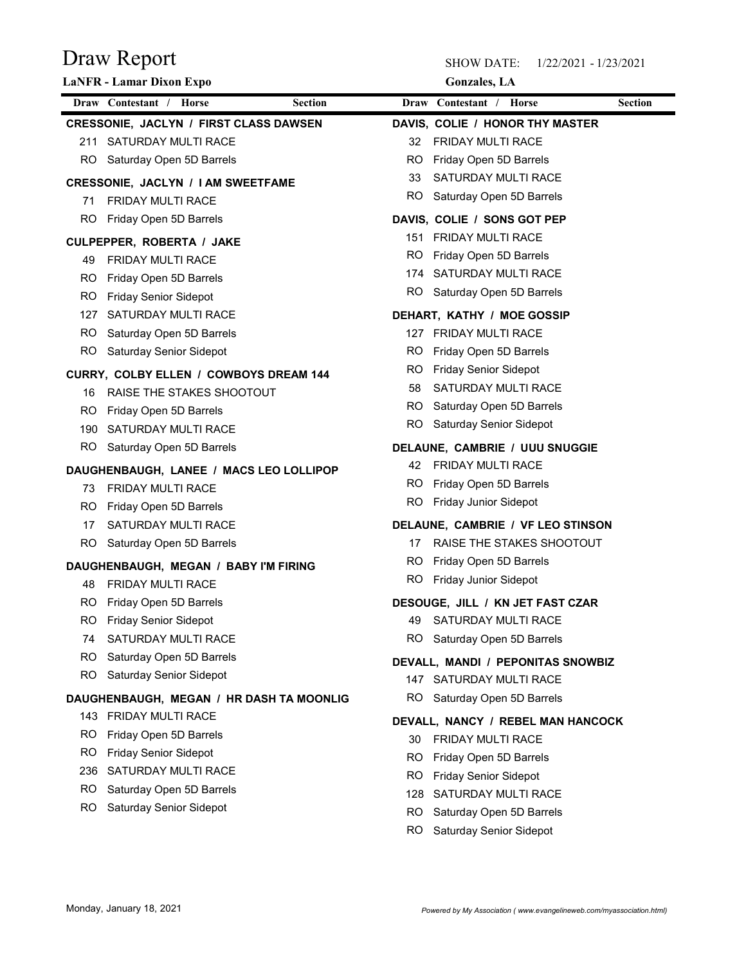|           | Draw Report                                                           |           | <b>SHOW DATE:</b><br>1/22/2021 - 1/23/2021      |                |
|-----------|-----------------------------------------------------------------------|-----------|-------------------------------------------------|----------------|
|           | LaNFR - Lamar Dixon Expo<br>Draw Contestant / Horse<br><b>Section</b> |           | <b>Gonzales</b> , LA<br>Draw Contestant / Horse | <b>Section</b> |
|           | <b>CRESSONIE, JACLYN / FIRST CLASS DAWSEN</b>                         |           | DAVIS, COLIE / HONOR THY MASTER                 |                |
|           | 211 SATURDAY MULTI RACE                                               | 32        | FRIDAY MULTI RACE                               |                |
| RO.       | Saturday Open 5D Barrels                                              | RO        | Friday Open 5D Barrels                          |                |
|           | <b>CRESSONIE, JACLYN / I AM SWEETFAME</b>                             | 33        | SATURDAY MULTI RACE                             |                |
| 71        | FRIDAY MULTI RACE                                                     | RO.       | Saturday Open 5D Barrels                        |                |
| RO.       | Friday Open 5D Barrels                                                |           | DAVIS, COLIE / SONS GOT PEP                     |                |
|           | CULPEPPER, ROBERTA / JAKE                                             | 151       | FRIDAY MULTI RACE                               |                |
| 49        | <b>FRIDAY MULTI RACE</b>                                              | RO.       | Friday Open 5D Barrels                          |                |
| RO.       | Friday Open 5D Barrels                                                | 174       | SATURDAY MULTI RACE                             |                |
| RO.       | <b>Friday Senior Sidepot</b>                                          | RO.       | Saturday Open 5D Barrels                        |                |
| 127       | SATURDAY MULTI RACE                                                   |           | DEHART, KATHY / MOE GOSSIP                      |                |
|           | RO Saturday Open 5D Barrels                                           |           | 127 FRIDAY MULTI RACE                           |                |
| RO.       | <b>Saturday Senior Sidepot</b>                                        | RO.       | Friday Open 5D Barrels                          |                |
|           | CURRY, COLBY ELLEN / COWBOYS DREAM 144                                | RO.       | <b>Friday Senior Sidepot</b>                    |                |
| 16        | RAISE THE STAKES SHOOTOUT                                             | 58        | SATURDAY MULTI RACE                             |                |
| RO.       | Friday Open 5D Barrels                                                | RO.       | Saturday Open 5D Barrels                        |                |
|           | 190 SATURDAY MULTI RACE                                               | <b>RO</b> | Saturday Senior Sidepot                         |                |
| RO.       | Saturday Open 5D Barrels                                              |           | DELAUNE, CAMBRIE / UUU SNUGGIE                  |                |
|           | DAUGHENBAUGH, LANEE / MACS LEO LOLLIPOP                               | 42        | FRIDAY MULTI RACE                               |                |
| 73.       | FRIDAY MULTI RACE                                                     | RO.       | Friday Open 5D Barrels                          |                |
| RO.       | Friday Open 5D Barrels                                                | RO.       | <b>Friday Junior Sidepot</b>                    |                |
| 17        | SATURDAY MULTI RACE                                                   |           | DELAUNE, CAMBRIE / VF LEO STINSON               |                |
| RO.       | Saturday Open 5D Barrels                                              | 17        | RAISE THE STAKES SHOOTOUT                       |                |
|           | DAUGHENBAUGH, MEGAN / BABY I'M FIRING                                 | RO.       | Friday Open 5D Barrels                          |                |
| 48        | FRIDAY MULTI RACE                                                     | RO.       | <b>Friday Junior Sidepot</b>                    |                |
| RO.       | Friday Open 5D Barrels                                                |           | DESOUGE, JILL / KN JET FAST CZAR                |                |
| RO.       | <b>Friday Senior Sidepot</b>                                          | 49        | SATURDAY MULTI RACE                             |                |
| 74        | SATURDAY MULTI RACE                                                   | RO.       | Saturday Open 5D Barrels                        |                |
| RO        | Saturday Open 5D Barrels                                              |           | DEVALL, MANDI / PEPONITAS SNOWBIZ               |                |
| <b>RO</b> | Saturday Senior Sidepot                                               |           | 147 SATURDAY MULTI RACE                         |                |
|           | DAUGHENBAUGH, MEGAN / HR DASH TA MOONLIG                              | RO.       | Saturday Open 5D Barrels                        |                |
|           | 143 FRIDAY MULTI RACE                                                 |           | DEVALL, NANCY / REBEL MAN HANCOCK               |                |
| RO.       | Friday Open 5D Barrels                                                | 30        | FRIDAY MULTI RACE                               |                |
| RO.       | <b>Friday Senior Sidepot</b>                                          | RO.       | Friday Open 5D Barrels                          |                |
| 236       | SATURDAY MULTI RACE                                                   | RO.       | <b>Friday Senior Sidepot</b>                    |                |
| RO.       | Saturday Open 5D Barrels                                              | 128       | SATURDAY MULTI RACE                             |                |
| RO.       | Saturday Senior Sidepot                                               | RO.       | Saturday Open 5D Barrels                        |                |
|           |                                                                       | RO        | Saturday Senior Sidepot                         |                |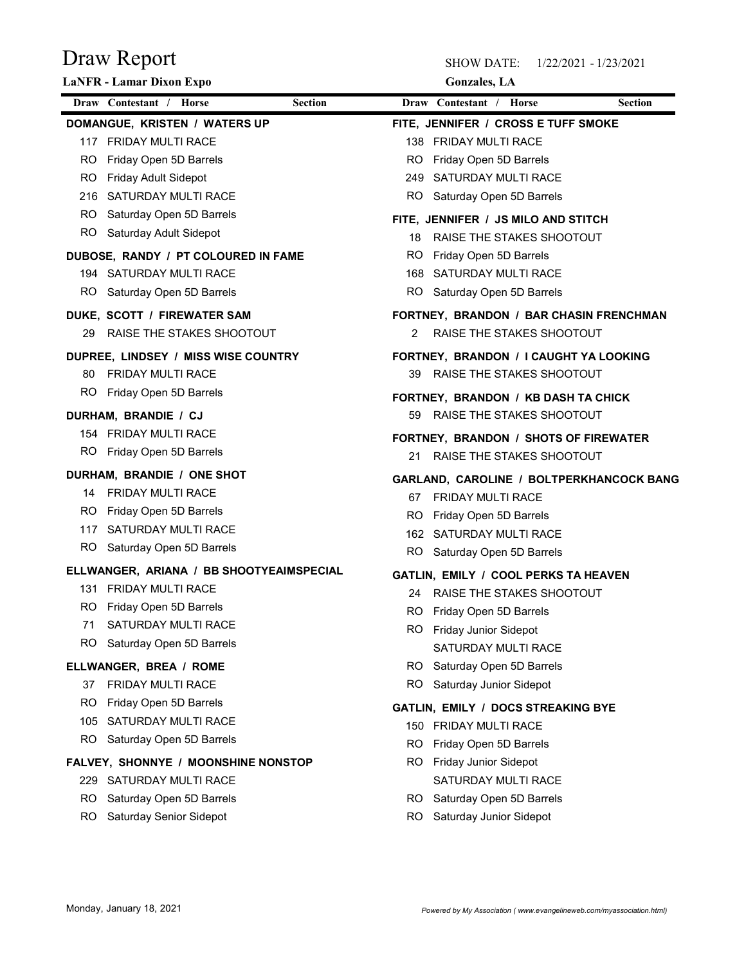| Draw Report                                                  | <b>SHOW DATE:</b><br>1/22/2021 - 1/23/2021                             |
|--------------------------------------------------------------|------------------------------------------------------------------------|
| LaNFR - Lamar Dixon Expo                                     | <b>Gonzales</b> , LA                                                   |
| Draw Contestant / Horse<br><b>Section</b>                    | Draw Contestant / Horse<br><b>Section</b>                              |
| DOMANGUE, KRISTEN / WATERS UP                                | FITE, JENNIFER / CROSS E TUFF SMOKE                                    |
| 117 FRIDAY MULTI RACE                                        | <b>FRIDAY MULTI RACE</b><br>138                                        |
| Friday Open 5D Barrels<br>RO.<br>Friday Adult Sidepot<br>RO. | Friday Open 5D Barrels<br>RO<br>SATURDAY MULTI RACE<br>249             |
| SATURDAY MULTI RACE<br>216                                   | RO<br>Saturday Open 5D Barrels                                         |
| Saturday Open 5D Barrels<br>RO.                              |                                                                        |
| RO.<br>Saturday Adult Sidepot                                | FITE, JENNIFER / JS MILO AND STITCH<br>RAISE THE STAKES SHOOTOUT<br>18 |
| DUBOSE, RANDY / PT COLOURED IN FAME                          | Friday Open 5D Barrels<br>RO.                                          |
| 194 SATURDAY MULTI RACE                                      | SATURDAY MULTI RACE<br>168                                             |
| Saturday Open 5D Barrels<br>RO.                              | RO.<br>Saturday Open 5D Barrels                                        |
| DUKE, SCOTT / FIREWATER SAM                                  | FORTNEY, BRANDON / BAR CHASIN FRENCHMAN                                |
| RAISE THE STAKES SHOOTOUT                                    | 2 RAISE THE STAKES SHOOTOUT                                            |
| DUPREE, LINDSEY / MISS WISE COUNTRY                          | FORTNEY, BRANDON / I CAUGHT YA LOOKING                                 |
| 80 FRIDAY MULTI RACE                                         | 39 RAISE THE STAKES SHOOTOUT                                           |
| RO Friday Open 5D Barrels                                    |                                                                        |
|                                                              | FORTNEY, BRANDON / KB DASH TA CHICK<br>59<br>RAISE THE STAKES SHOOTOUT |
| DURHAM, BRANDIE / CJ<br>154 FRIDAY MULTI RACE                |                                                                        |
| RO Friday Open 5D Barrels                                    | FORTNEY, BRANDON / SHOTS OF FIREWATER                                  |
|                                                              | RAISE THE STAKES SHOOTOUT<br>21                                        |
| DURHAM, BRANDIE / ONE SHOT<br>14 FRIDAY MULTI RACE           | GARLAND, CAROLINE / BOLTPERKHANCOCK BANG                               |
| RO.<br>Friday Open 5D Barrels                                | FRIDAY MULTI RACE<br>67                                                |
| SATURDAY MULTI RACE<br>117                                   | Friday Open 5D Barrels<br>RO.                                          |
| RO.<br>Saturday Open 5D Barrels                              | 162 SATURDAY MULTI RACE                                                |
| ELLWANGER, ARIANA / BB SHOOTYEAIMSPECIAL                     | Saturday Open 5D Barrels<br>RO.                                        |
| 131 FRIDAY MULTI RACE                                        | GATLIN, EMILY / COOL PERKS TA HEAVEN                                   |
| Friday Open 5D Barrels<br>RO.                                | RAISE THE STAKES SHOOTOUT<br>24                                        |
| SATURDAY MULTI RACE<br>71                                    | Friday Open 5D Barrels<br>RO.                                          |
| RO.<br>Saturday Open 5D Barrels                              | RO Friday Junior Sidepot                                               |
|                                                              | SATURDAY MULTI RACE                                                    |
| ELLWANGER, BREA / ROME                                       | RO Saturday Open 5D Barrels<br>RO.                                     |
| <b>FRIDAY MULTI RACE</b><br>37<br>RO.                        | Saturday Junior Sidepot                                                |
| Friday Open 5D Barrels<br>105 SATURDAY MULTI RACE            | GATLIN, EMILY / DOCS STREAKING BYE                                     |
| RO.<br>Saturday Open 5D Barrels                              | 150 FRIDAY MULTI RACE                                                  |
|                                                              | RO.<br>Friday Open 5D Barrels                                          |
| FALVEY, SHONNYE / MOONSHINE NONSTOP                          | RO Friday Junior Sidepot                                               |
| 229 SATURDAY MULTI RACE                                      | SATURDAY MULTI RACE                                                    |
| Saturday Open 5D Barrels<br>RO.                              | RO Saturday Open 5D Barrels                                            |
| Saturday Senior Sidepot<br>RO.                               | Saturday Junior Sidepot<br>RO.                                         |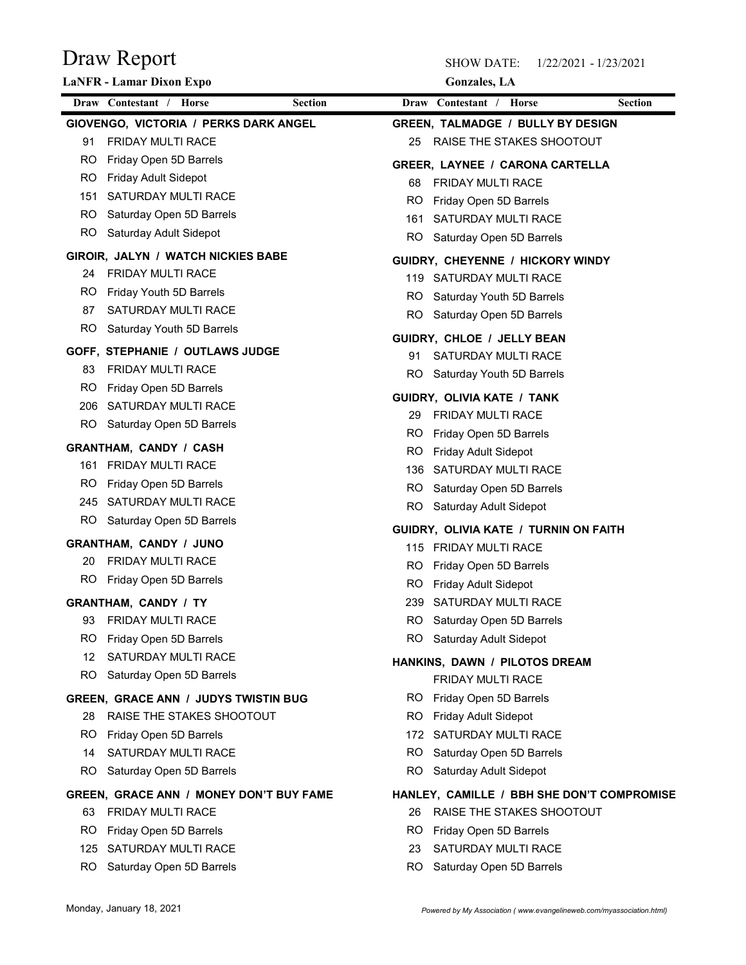| Draw Report                                               | <b>SHOW DATE:</b><br>1/22/2021 - 1/23/2021 |
|-----------------------------------------------------------|--------------------------------------------|
| LaNFR - Lamar Dixon Expo                                  | <b>Gonzales</b> , LA                       |
| Draw Contestant / Horse<br><b>Section</b>                 | Draw Contestant / Horse<br><b>Section</b>  |
| GIOVENGO, VICTORIA / PERKS DARK ANGEL                     | <b>GREEN, TALMADGE / BULLY BY DESIGN</b>   |
| FRIDAY MULTI RACE<br>91                                   | RAISE THE STAKES SHOOTOUT<br>25            |
| Friday Open 5D Barrels<br>RO.                             | GREER, LAYNEE / CARONA CARTELLA            |
| Friday Adult Sidepot<br>RO.<br>SATURDAY MULTI RACE<br>151 | FRIDAY MULTI RACE<br>68                    |
| Saturday Open 5D Barrels<br>RO.                           | Friday Open 5D Barrels<br>RO               |
| RO.<br>Saturday Adult Sidepot                             | SATURDAY MULTI RACE<br>161                 |
|                                                           | RO<br>Saturday Open 5D Barrels             |
| GIROIR, JALYN / WATCH NICKIES BABE                        | GUIDRY, CHEYENNE / HICKORY WINDY           |
| FRIDAY MULTI RACE<br>24<br>RO.                            | 119 SATURDAY MULTI RACE                    |
| Friday Youth 5D Barrels<br>SATURDAY MULTI RACE<br>87      | RO<br>Saturday Youth 5D Barrels            |
| <b>RO</b><br>Saturday Youth 5D Barrels                    | RO<br>Saturday Open 5D Barrels             |
|                                                           | GUIDRY, CHLOE / JELLY BEAN                 |
| <b>GOFF, STEPHANIE / OUTLAWS JUDGE</b>                    | SATURDAY MULTI RACE<br>91                  |
| FRIDAY MULTI RACE<br>83<br>Friday Open 5D Barrels         | RO.<br>Saturday Youth 5D Barrels           |
| RO.<br>206 SATURDAY MULTI RACE                            | GUIDRY, OLIVIA KATE / TANK                 |
| RO Saturday Open 5D Barrels                               | FRIDAY MULTI RACE<br>29                    |
|                                                           | Friday Open 5D Barrels<br>RO.              |
| <b>GRANTHAM, CANDY / CASH</b>                             | Friday Adult Sidepot<br>RO                 |
| 161 FRIDAY MULTI RACE                                     | SATURDAY MULTI RACE<br>136                 |
| Friday Open 5D Barrels<br>RO.                             | Saturday Open 5D Barrels<br>RO.            |
| 245 SATURDAY MULTI RACE<br>RO Saturday Open 5D Barrels    | Saturday Adult Sidepot<br>RO.              |
|                                                           | GUIDRY, OLIVIA KATE / TURNIN ON FAITH      |
| <b>GRANTHAM, CANDY / JUNO</b>                             | 115 FRIDAY MULTI RACE                      |
| FRIDAY MULTI RACE<br>20                                   | RO.<br>Friday Open 5D Barrels              |
| RO Friday Open 5D Barrels                                 | RO.<br><b>Friday Adult Sidepot</b>         |
| <b>GRANTHAM, CANDY / TY</b>                               | SATURDAY MULTI RACE<br>239                 |
| FRIDAY MULTI RACE<br>93                                   | RO.<br>Saturday Open 5D Barrels            |
| Friday Open 5D Barrels<br>RO.                             | RO<br>Saturday Adult Sidepot               |
| SATURDAY MULTI RACE<br>12                                 | HANKINS, DAWN / PILOTOS DREAM              |
| RO.<br>Saturday Open 5D Barrels                           | FRIDAY MULTI RACE                          |
| <b>GREEN, GRACE ANN / JUDYS TWISTIN BUG</b>               | RO Friday Open 5D Barrels                  |
| RAISE THE STAKES SHOOTOUT<br>28                           | RO.<br>Friday Adult Sidepot                |
| Friday Open 5D Barrels<br>RO.                             | SATURDAY MULTI RACE<br>172                 |
| SATURDAY MULTI RACE<br>14                                 | RO.<br>Saturday Open 5D Barrels            |
| Saturday Open 5D Barrels<br>RO.                           | RO.<br>Saturday Adult Sidepot              |
| GREEN, GRACE ANN / MONEY DON'T BUY FAME                   | HANLEY, CAMILLE / BBH SHE DON'T COMPROMISE |
| <b>FRIDAY MULTI RACE</b><br>63                            | RAISE THE STAKES SHOOTOUT<br>26            |
| Friday Open 5D Barrels<br>RO.                             | RO.<br>Friday Open 5D Barrels              |
| 125 SATURDAY MULTI RACE                                   | SATURDAY MULTI RACE<br>23                  |
| RO Saturday Open 5D Barrels                               | Saturday Open 5D Barrels<br>RO.            |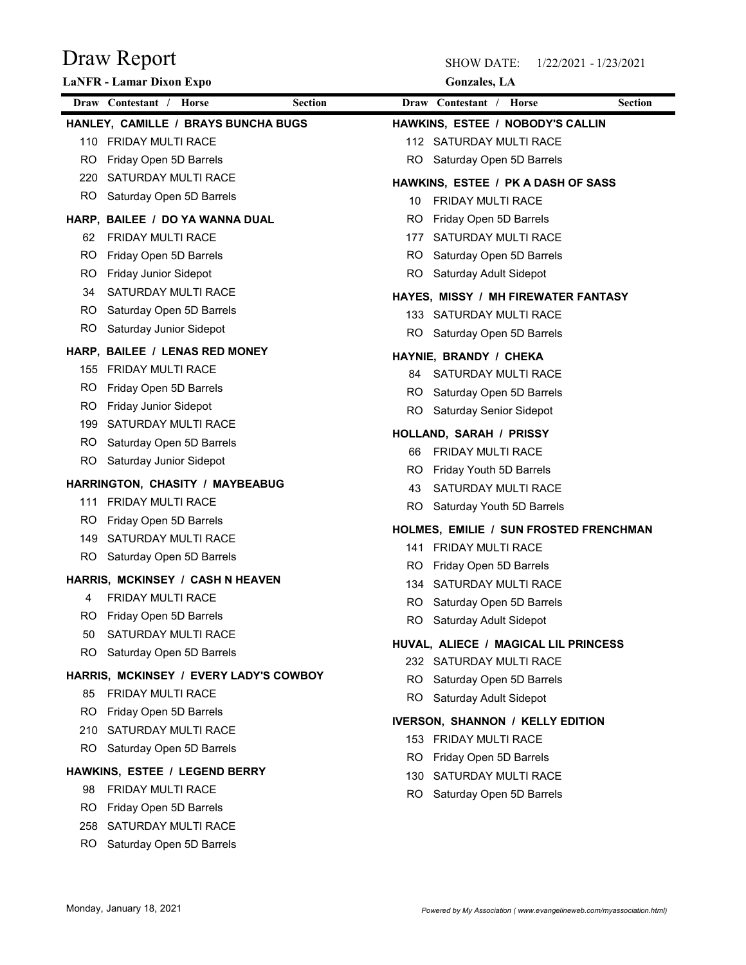|           | Draw Report                                             |     | <b>SHOW DATE:</b>                       | 1/22/2021 - 1/23/2021 |
|-----------|---------------------------------------------------------|-----|-----------------------------------------|-----------------------|
|           | LaNFR - Lamar Dixon Expo                                |     | <b>Gonzales</b> , LA                    |                       |
|           | Draw Contestant / Horse<br><b>Section</b>               |     | Draw Contestant / Horse                 | <b>Section</b>        |
|           | HANLEY, CAMILLE / BRAYS BUNCHA BUGS                     |     | HAWKINS, ESTEE / NOBODY'S CALLIN        |                       |
|           | 110 FRIDAY MULTI RACE                                   |     | 112 SATURDAY MULTI RACE                 |                       |
| RO.       | Friday Open 5D Barrels                                  | RO  | Saturday Open 5D Barrels                |                       |
| 220       | SATURDAY MULTI RACE                                     |     | HAWKINS, ESTEE / PK A DASH OF SASS      |                       |
| RO.       | Saturday Open 5D Barrels                                | 10  | FRIDAY MULTI RACE                       |                       |
|           | HARP, BAILEE / DO YA WANNA DUAL                         | RO  | Friday Open 5D Barrels                  |                       |
| 62        | FRIDAY MULTI RACE                                       | 177 | SATURDAY MULTI RACE                     |                       |
| RO.       | Friday Open 5D Barrels                                  | RO  | Saturday Open 5D Barrels                |                       |
| RO.<br>34 | Friday Junior Sidepot<br>SATURDAY MULTI RACE            | RO. | Saturday Adult Sidepot                  |                       |
| RO.       | Saturday Open 5D Barrels                                |     | HAYES, MISSY / MH FIREWATER FANTASY     |                       |
| RO        | Saturday Junior Sidepot                                 |     | 133 SATURDAY MULTI RACE                 |                       |
|           |                                                         |     | RO Saturday Open 5D Barrels             |                       |
|           | HARP, BAILEE / LENAS RED MONEY                          |     | HAYNIE, BRANDY / CHEKA                  |                       |
|           | 155 FRIDAY MULTI RACE                                   |     | 84 SATURDAY MULTI RACE                  |                       |
| RO.       | Friday Open 5D Barrels                                  | RO. | Saturday Open 5D Barrels                |                       |
| RO.       | <b>Friday Junior Sidepot</b><br>199 SATURDAY MULTI RACE | RO. | Saturday Senior Sidepot                 |                       |
| RO.       | Saturday Open 5D Barrels                                |     | HOLLAND, SARAH / PRISSY                 |                       |
|           | RO Saturday Junior Sidepot                              | 66  | FRIDAY MULTI RACE                       |                       |
|           |                                                         | RO. | Friday Youth 5D Barrels                 |                       |
|           | HARRINGTON, CHASITY / MAYBEABUG                         | 43  | SATURDAY MULTI RACE                     |                       |
|           | 111 FRIDAY MULTI RACE                                   | RO. | Saturday Youth 5D Barrels               |                       |
| RO.       | Friday Open 5D Barrels                                  |     | HOLMES, EMILIE / SUN FROSTED FRENCHMAN  |                       |
|           | 149 SATURDAY MULTI RACE                                 |     | 141 FRIDAY MULTI RACE                   |                       |
|           | RO Saturday Open 5D Barrels                             | RO. | Friday Open 5D Barrels                  |                       |
|           | HARRIS, MCKINSEY / CASH N HEAVEN                        | 134 | SATURDAY MULTI RACE                     |                       |
| 4         | FRIDAY MULTI RACE                                       | RO. | Saturday Open 5D Barrels                |                       |
| RO.       | Friday Open 5D Barrels                                  | RO. | Saturday Adult Sidepot                  |                       |
| 50        | SATURDAY MULTI RACE                                     |     | HUVAL, ALIECE / MAGICAL LIL PRINCESS    |                       |
| RO.       | Saturday Open 5D Barrels                                |     | 232 SATURDAY MULTI RACE                 |                       |
|           | HARRIS, MCKINSEY / EVERY LADY'S COWBOY                  | RO. | Saturday Open 5D Barrels                |                       |
| 85        | FRIDAY MULTI RACE                                       | RO. | Saturday Adult Sidepot                  |                       |
| RO.       | Friday Open 5D Barrels                                  |     | <b>IVERSON, SHANNON / KELLY EDITION</b> |                       |
| 210       | SATURDAY MULTI RACE                                     |     | 153 FRIDAY MULTI RACE                   |                       |
| RO.       | Saturday Open 5D Barrels                                | RO. | Friday Open 5D Barrels                  |                       |
|           | HAWKINS, ESTEE / LEGEND BERRY                           | 130 | SATURDAY MULTI RACE                     |                       |
| 98        | FRIDAY MULTI RACE                                       | RO. | Saturday Open 5D Barrels                |                       |
| RO.       | Friday Open 5D Barrels                                  |     |                                         |                       |
|           | 258 SATURDAY MULTI RACE                                 |     |                                         |                       |
|           | RO Saturday Open 5D Barrels                             |     |                                         |                       |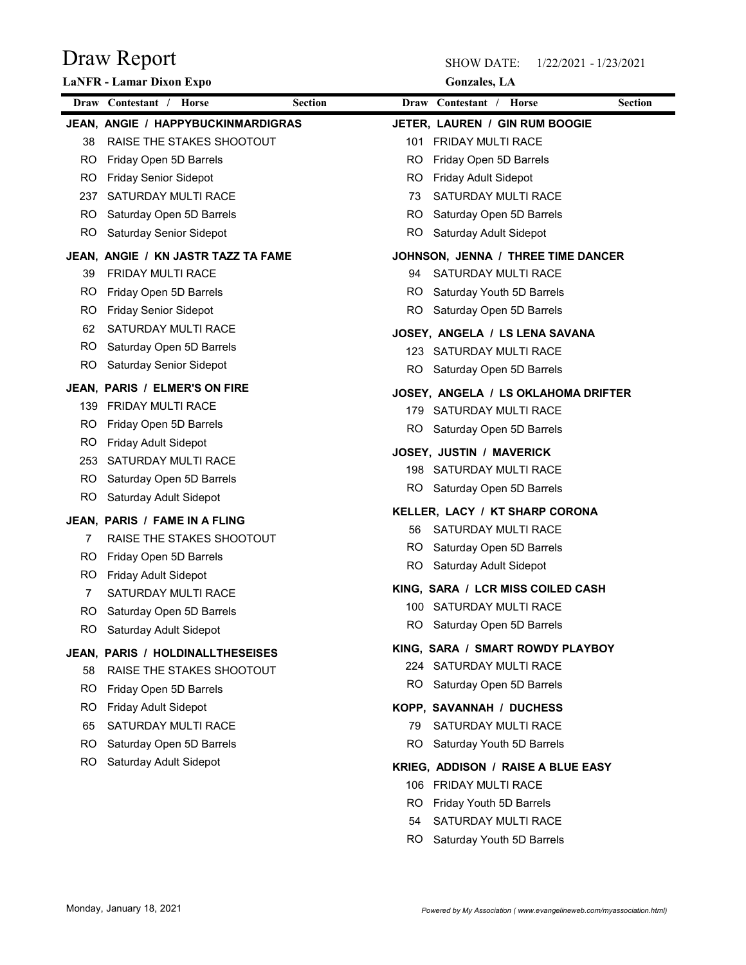|            | Draw Report                                                   |           | <b>SHOW DATE:</b><br>1/22/2021 - 1/23/2021     |                |
|------------|---------------------------------------------------------------|-----------|------------------------------------------------|----------------|
|            | LaNFR - Lamar Dixon Expo                                      |           | <b>Gonzales</b> , LA                           |                |
|            | Draw Contestant / Horse<br><b>Section</b>                     |           | Draw Contestant / Horse                        | <b>Section</b> |
|            | JEAN, ANGIE / HAPPYBUCKINMARDIGRAS                            |           | JETER, LAUREN / GIN RUM BOOGIE                 |                |
| 38         | RAISE THE STAKES SHOOTOUT                                     | 101       | FRIDAY MULTI RACE                              |                |
| RO.<br>RO. | Friday Open 5D Barrels<br><b>Friday Senior Sidepot</b>        | RO<br>RO  | Friday Open 5D Barrels<br>Friday Adult Sidepot |                |
| 237        | SATURDAY MULTI RACE                                           | 73        | SATURDAY MULTI RACE                            |                |
| RO.        | Saturday Open 5D Barrels                                      | RO        | Saturday Open 5D Barrels                       |                |
| RO.        | Saturday Senior Sidepot                                       | <b>RO</b> | Saturday Adult Sidepot                         |                |
|            | JEAN, ANGIE / KN JASTR TAZZ TA FAME                           |           | JOHNSON, JENNA / THREE TIME DANCER             |                |
| 39         | FRIDAY MULTI RACE                                             | 94        | SATURDAY MULTI RACE                            |                |
| RO.        | Friday Open 5D Barrels                                        | RO        | Saturday Youth 5D Barrels                      |                |
| RO.        | Friday Senior Sidepot                                         | RO        | Saturday Open 5D Barrels                       |                |
| 62         | SATURDAY MULTI RACE                                           |           | JOSEY, ANGELA / LS LENA SAVANA                 |                |
| RO.        | Saturday Open 5D Barrels                                      |           | 123 SATURDAY MULTI RACE                        |                |
| <b>RO</b>  | Saturday Senior Sidepot                                       | RO.       | Saturday Open 5D Barrels                       |                |
|            | JEAN, PARIS / ELMER'S ON FIRE                                 |           | JOSEY, ANGELA / LS OKLAHOMA DRIFTER            |                |
| 139        | FRIDAY MULTI RACE                                             |           | 179 SATURDAY MULTI RACE                        |                |
| RO.        | Friday Open 5D Barrels                                        | RO.       | Saturday Open 5D Barrels                       |                |
| RO.        | <b>Friday Adult Sidepot</b>                                   |           | JOSEY, JUSTIN / MAVERICK                       |                |
| 253        | SATURDAY MULTI RACE                                           |           | 198 SATURDAY MULTI RACE                        |                |
| RO.        | Saturday Open 5D Barrels                                      | RO.       | Saturday Open 5D Barrels                       |                |
| <b>RO</b>  | Saturday Adult Sidepot                                        |           | KELLER, LACY / KT SHARP CORONA                 |                |
|            | JEAN, PARIS / FAME IN A FLING                                 | 56        | SATURDAY MULTI RACE                            |                |
| 7          | RAISE THE STAKES SHOOTOUT                                     | RO.       | Saturday Open 5D Barrels                       |                |
| RO.        | Friday Open 5D Barrels                                        | RO        | Saturday Adult Sidepot                         |                |
| RO.        | <b>Friday Adult Sidepot</b><br>SATURDAY MULTI RACE            |           | KING, SARA / LCR MISS COILED CASH              |                |
| RO.        | Saturday Open 5D Barrels                                      |           | 100 SATURDAY MULTI RACE                        |                |
| RO.        | Saturday Adult Sidepot                                        | RO.       | Saturday Open 5D Barrels                       |                |
|            |                                                               |           | KING, SARA / SMART ROWDY PLAYBOY               |                |
|            | JEAN, PARIS / HOLDINALLTHESEISES<br>RAISE THE STAKES SHOOTOUT |           | 224 SATURDAY MULTI RACE                        |                |
| 58<br>RO.  | Friday Open 5D Barrels                                        | RO.       | Saturday Open 5D Barrels                       |                |
| RO.        | Friday Adult Sidepot                                          |           | KOPP, SAVANNAH / DUCHESS                       |                |
| 65         | SATURDAY MULTI RACE                                           | 79        | SATURDAY MULTI RACE                            |                |
| RO.        | Saturday Open 5D Barrels                                      | RO.       | Saturday Youth 5D Barrels                      |                |
| RO.        | Saturday Adult Sidepot                                        |           | KRIEG, ADDISON / RAISE A BLUE EASY             |                |
|            |                                                               | 106       | FRIDAY MULTI RACE                              |                |
|            |                                                               | <b>RO</b> | Friday Youth 5D Barrels                        |                |
|            |                                                               | 54        | SATURDAY MULTI RACE                            |                |
|            |                                                               |           | Saturday Youth 5D Barrels                      |                |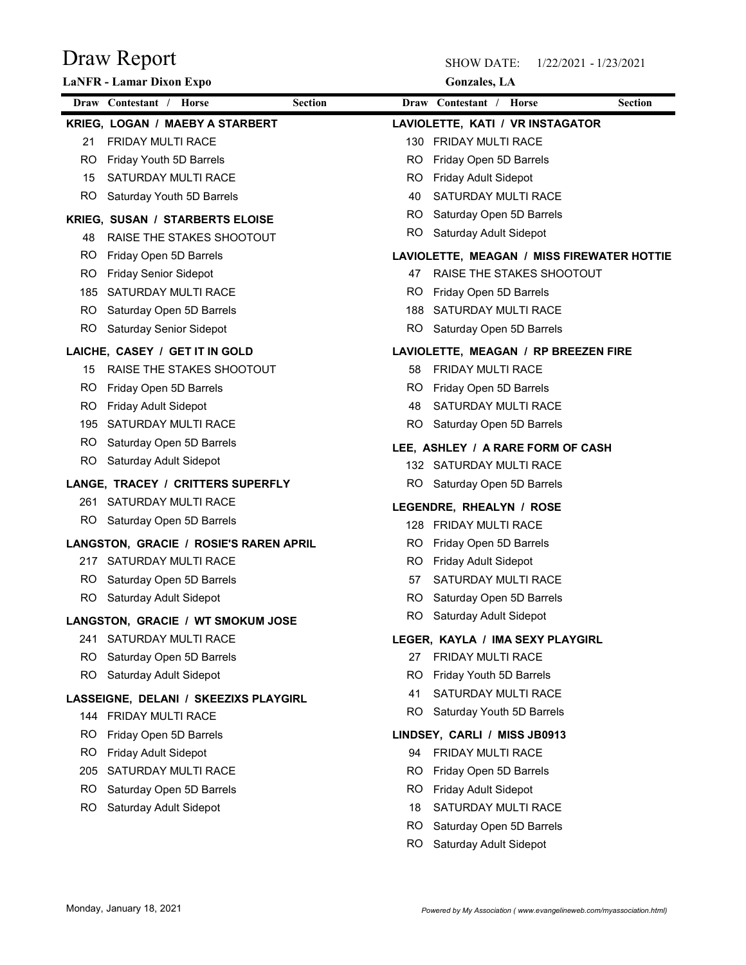| Draw Report                                                            |                         | <b>SHOW DATE:</b><br>1/22/2021 - 1/23/2021  |                |
|------------------------------------------------------------------------|-------------------------|---------------------------------------------|----------------|
| <b>LaNFR</b> - Lamar Dixon Expo                                        |                         | <b>Gonzales</b> , LA                        |                |
| Draw Contestant / Horse<br><b>Section</b>                              | Draw Contestant / Horse |                                             | <b>Section</b> |
| KRIEG, LOGAN / MAEBY A STARBERT                                        |                         | LAVIOLETTE, KATI / VR INSTAGATOR            |                |
| FRIDAY MULTI RACE<br>21                                                | 130                     | <b>FRIDAY MULTI RACE</b>                    |                |
| <b>RO</b><br>Friday Youth 5D Barrels<br>SATURDAY MULTI RACE<br>15      | RO                      | Friday Open 5D Barrels                      |                |
| <b>RO</b><br>Saturday Youth 5D Barrels                                 | R <sub>O</sub><br>40    | Friday Adult Sidepot<br>SATURDAY MULTI RACE |                |
|                                                                        | RO                      | Saturday Open 5D Barrels                    |                |
| KRIEG, SUSAN / STARBERTS ELOISE                                        | R <sub>O</sub>          | Saturday Adult Sidepot                      |                |
| RAISE THE STAKES SHOOTOUT<br>48<br><b>RO</b><br>Friday Open 5D Barrels |                         | LAVIOLETTE, MEAGAN / MISS FIREWATER HOTTIE  |                |
| <b>RO</b><br><b>Friday Senior Sidepot</b>                              | 47                      | RAISE THE STAKES SHOOTOUT                   |                |
| 185<br><b>SATURDAY MULTI RACE</b>                                      | RO                      | Friday Open 5D Barrels                      |                |
| <b>RO</b><br>Saturday Open 5D Barrels                                  | 188                     | SATURDAY MULTI RACE                         |                |
| <b>RO</b><br>Saturday Senior Sidepot                                   | <b>RO</b>               | Saturday Open 5D Barrels                    |                |
| LAICHE, CASEY / GET IT IN GOLD                                         |                         | LAVIOLETTE, MEAGAN / RP BREEZEN FIRE        |                |
| RAISE THE STAKES SHOOTOUT<br>15                                        | 58                      | FRIDAY MULTI RACE                           |                |
| RO.<br>Friday Open 5D Barrels                                          | RO                      | Friday Open 5D Barrels                      |                |
| RO<br>Friday Adult Sidepot                                             | 48                      | SATURDAY MULTI RACE                         |                |
| SATURDAY MULTI RACE<br>195                                             | <b>RO</b>               | Saturday Open 5D Barrels                    |                |
| RO<br>Saturday Open 5D Barrels                                         |                         | LEE, ASHLEY / A RARE FORM OF CASH           |                |
| <b>RO</b><br>Saturday Adult Sidepot                                    |                         | 132 SATURDAY MULTI RACE                     |                |
| LANGE, TRACEY / CRITTERS SUPERFLY                                      | RO.                     | Saturday Open 5D Barrels                    |                |
| SATURDAY MULTI RACE<br>261                                             |                         | LEGENDRE, RHEALYN / ROSE                    |                |
| RO.<br>Saturday Open 5D Barrels                                        | 128                     | FRIDAY MULTI RACE                           |                |
| LANGSTON, GRACIE / ROSIE'S RAREN APRIL                                 | RO.                     | Friday Open 5D Barrels                      |                |
| 217 SATURDAY MULTI RACE                                                | RO.                     | Friday Adult Sidepot                        |                |
| RO.<br>Saturday Open 5D Barrels                                        | 57                      | SATURDAY MULTI RACE                         |                |
| RO<br>Saturday Adult Sidepot                                           | RO                      | Saturday Open 5D Barrels                    |                |
| LANGSTON, GRACIE / WT SMOKUM JOSE                                      | RO                      | Saturday Adult Sidepot                      |                |
| 241 SATURDAY MULTI RACE                                                |                         | LEGER, KAYLA / IMA SEXY PLAYGIRL            |                |
| RO<br>Saturday Open 5D Barrels                                         | 27                      | FRIDAY MULTI RACE                           |                |
| <b>RO</b><br>Saturday Adult Sidepot                                    | RO.                     | Friday Youth 5D Barrels                     |                |
| LASSEIGNE, DELANI / SKEEZIXS PLAYGIRL                                  | 41                      | SATURDAY MULTI RACE                         |                |
| 144 FRIDAY MULTI RACE                                                  | <b>RO</b>               | Saturday Youth 5D Barrels                   |                |
| Friday Open 5D Barrels<br>RO.                                          |                         | LINDSEY, CARLI / MISS JB0913                |                |
| RO<br>Friday Adult Sidepot                                             | 94                      | <b>FRIDAY MULTI RACE</b>                    |                |
| 205<br>SATURDAY MULTI RACE                                             | RO.                     | Friday Open 5D Barrels                      |                |
| RO<br>Saturday Open 5D Barrels                                         | RO                      | <b>Friday Adult Sidepot</b>                 |                |
| RO.<br>Saturday Adult Sidepot                                          | 18                      | SATURDAY MULTI RACE                         |                |
|                                                                        | RO                      | Saturday Open 5D Barrels                    |                |
|                                                                        | <b>RO</b>               | Saturday Adult Sidepot                      |                |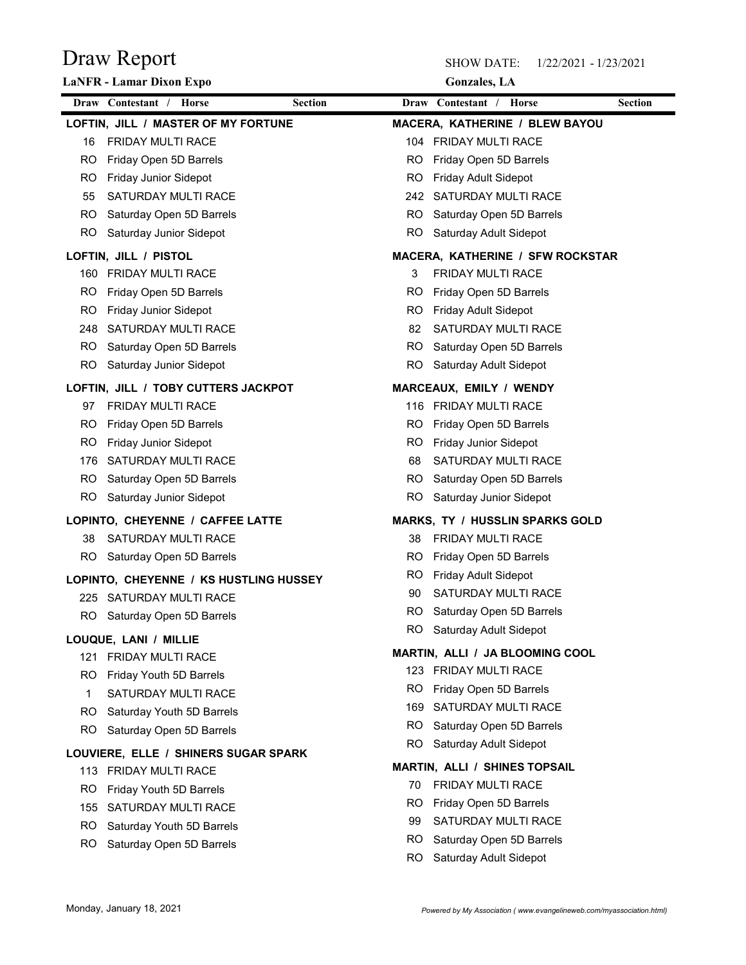| Draw Report                               |           | <b>SHOW DATE:</b><br>1/22/2021 - 1/23/2021         |                |
|-------------------------------------------|-----------|----------------------------------------------------|----------------|
| LaNFR - Lamar Dixon Expo                  |           | <b>Gonzales</b> , LA                               |                |
| Draw Contestant / Horse<br><b>Section</b> |           | Draw Contestant / Horse                            | <b>Section</b> |
| LOFTIN, JILL / MASTER OF MY FORTUNE       |           | MACERA, KATHERINE / BLEW BAYOU                     |                |
| FRIDAY MULTI RACE<br>16                   |           | 104 FRIDAY MULTI RACE                              |                |
| Friday Open 5D Barrels<br>RO.             | RO        | Friday Open 5D Barrels                             |                |
| Friday Junior Sidepot<br>RO.              | RO        | Friday Adult Sidepot                               |                |
| SATURDAY MULTI RACE<br>55                 | 242       | SATURDAY MULTI RACE                                |                |
| Saturday Open 5D Barrels<br>RO.           | RO.       | Saturday Open 5D Barrels                           |                |
| RO<br>Saturday Junior Sidepot             | RO        | Saturday Adult Sidepot                             |                |
| LOFTIN, JILL / PISTOL                     |           | MACERA, KATHERINE / SFW ROCKSTAR                   |                |
| 160 FRIDAY MULTI RACE                     | 3         | FRIDAY MULTI RACE                                  |                |
| Friday Open 5D Barrels<br>RO.             | RO        | Friday Open 5D Barrels                             |                |
| Friday Junior Sidepot<br>RO.              | RO        | Friday Adult Sidepot                               |                |
| 248 SATURDAY MULTI RACE                   | 82        | SATURDAY MULTI RACE                                |                |
| Saturday Open 5D Barrels<br>RO.           | RO.       | Saturday Open 5D Barrels                           |                |
| <b>RO</b><br>Saturday Junior Sidepot      | <b>RO</b> | Saturday Adult Sidepot                             |                |
| LOFTIN, JILL / TOBY CUTTERS JACKPOT       |           | MARCEAUX, EMILY / WENDY                            |                |
| FRIDAY MULTI RACE<br>97                   |           | 116 FRIDAY MULTI RACE                              |                |
| Friday Open 5D Barrels<br>RO.             | RO.       | Friday Open 5D Barrels                             |                |
| Friday Junior Sidepot<br>RO.              | RO.       | <b>Friday Junior Sidepot</b>                       |                |
| SATURDAY MULTI RACE<br>176                | 68        | SATURDAY MULTI RACE                                |                |
| Saturday Open 5D Barrels<br>RO.           | RO.       | Saturday Open 5D Barrels                           |                |
| RO.<br>Saturday Junior Sidepot            | RO.       | Saturday Junior Sidepot                            |                |
| LOPINTO, CHEYENNE / CAFFEE LATTE          |           | <b>MARKS, TY / HUSSLIN SPARKS GOLD</b>             |                |
| SATURDAY MULTI RACE<br>38                 | 38        | FRIDAY MULTI RACE                                  |                |
| Saturday Open 5D Barrels<br>RO.           | RO.       | Friday Open 5D Barrels                             |                |
| LOPINTO, CHEYENNE / KS HUSTLING HUSSEY    | RO.       | Friday Adult Sidepot                               |                |
| 225 SATURDAY MULTI RACE                   | 90        | SATURDAY MULTI RACE                                |                |
| RO<br>Saturday Open 5D Barrels            | RO.       | Saturday Open 5D Barrels                           |                |
| LOUQUE, LANI / MILLIE                     | RO.       | Saturday Adult Sidepot                             |                |
| FRIDAY MULTI RACE<br>121                  |           | MARTIN, ALLI / JA BLOOMING COOL                    |                |
| Friday Youth 5D Barrels<br>RO.            | 123       | FRIDAY MULTI RACE                                  |                |
| SATURDAY MULTI RACE<br>1                  | RO.       | Friday Open 5D Barrels                             |                |
| Saturday Youth 5D Barrels<br>RO           | 169       | SATURDAY MULTI RACE                                |                |
| <b>RO</b><br>Saturday Open 5D Barrels     | RO.<br>RO | Saturday Open 5D Barrels<br>Saturday Adult Sidepot |                |
| LOUVIERE, ELLE / SHINERS SUGAR SPARK      |           |                                                    |                |
| 113 FRIDAY MULTI RACE                     |           | <b>MARTIN, ALLI / SHINES TOPSAIL</b>               |                |
| Friday Youth 5D Barrels<br>RO.            | 70        | FRIDAY MULTI RACE                                  |                |
| SATURDAY MULTI RACE<br>155                | RO.       | Friday Open 5D Barrels                             |                |
| Saturday Youth 5D Barrels<br>RO.          | 99        | SATURDAY MULTI RACE                                |                |
| Saturday Open 5D Barrels<br>RO.           | RO.       | Saturday Open 5D Barrels                           |                |
|                                           | RO        | Saturday Adult Sidepot                             |                |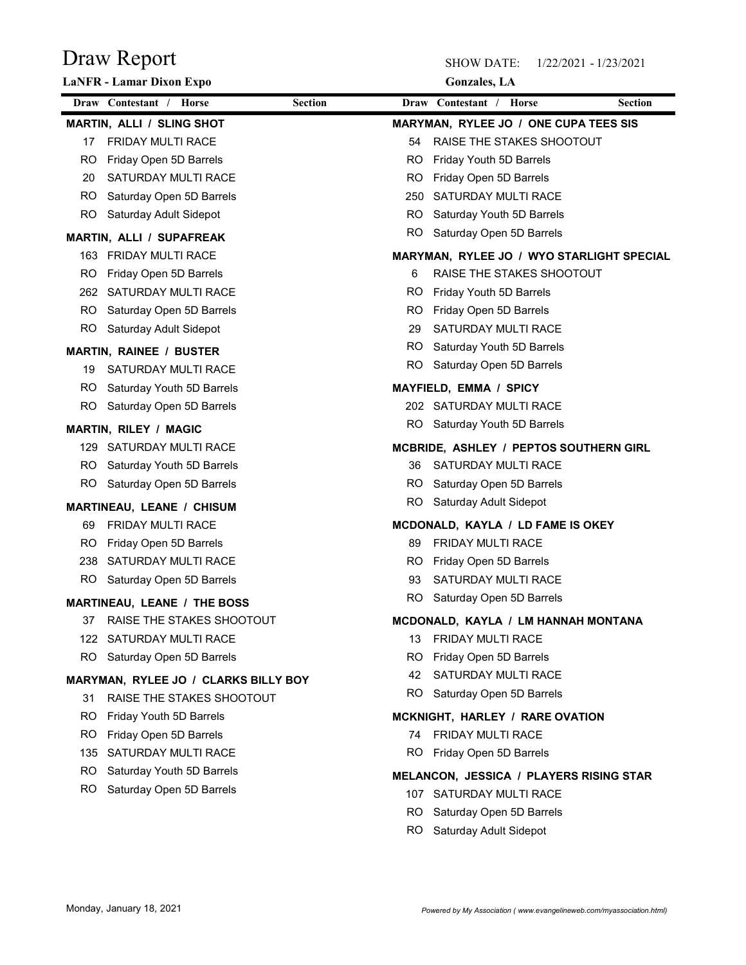|           | Draw Report<br>LaNFR - Lamar Dixon Expo   |     | <b>SHOW DATE:</b><br>1/22/2021 - 1/23/2021<br><b>Gonzales</b> , LA |                |
|-----------|-------------------------------------------|-----|--------------------------------------------------------------------|----------------|
|           | Draw Contestant / Horse<br><b>Section</b> |     | Draw Contestant / Horse                                            | <b>Section</b> |
|           | <b>MARTIN, ALLI / SLING SHOT</b>          |     | MARYMAN, RYLEE JO / ONE CUPA TEES SIS                              |                |
| 17        | FRIDAY MULTI RACE                         | 54  | RAISE THE STAKES SHOOTOUT                                          |                |
| RO.       | Friday Open 5D Barrels                    | RO  | Friday Youth 5D Barrels                                            |                |
| 20        | SATURDAY MULTI RACE                       | RO  | Friday Open 5D Barrels                                             |                |
| RO.       | Saturday Open 5D Barrels                  | 250 | SATURDAY MULTI RACE                                                |                |
| RO.       | Saturday Adult Sidepot                    | RO. | Saturday Youth 5D Barrels                                          |                |
|           | <b>MARTIN, ALLI / SUPAFREAK</b>           | RO  | Saturday Open 5D Barrels                                           |                |
|           | 163 FRIDAY MULTI RACE                     |     | MARYMAN, RYLEE JO / WYO STARLIGHT SPECIAL                          |                |
| RO.       | Friday Open 5D Barrels                    | 6   | RAISE THE STAKES SHOOTOUT                                          |                |
| 262       | SATURDAY MULTI RACE                       | RO  | Friday Youth 5D Barrels                                            |                |
| RO.       | Saturday Open 5D Barrels                  | RO  | Friday Open 5D Barrels                                             |                |
| <b>RO</b> | Saturday Adult Sidepot                    | 29  | SATURDAY MULTI RACE                                                |                |
|           | <b>MARTIN, RAINEE / BUSTER</b>            |     | RO Saturday Youth 5D Barrels                                       |                |
| 19        | SATURDAY MULTI RACE                       | RO. | Saturday Open 5D Barrels                                           |                |
| RO.       | Saturday Youth 5D Barrels                 |     | <b>MAYFIELD, EMMA / SPICY</b>                                      |                |
| RO.       | Saturday Open 5D Barrels                  |     | 202 SATURDAY MULTI RACE                                            |                |
|           | <b>MARTIN, RILEY / MAGIC</b>              |     | RO Saturday Youth 5D Barrels                                       |                |
|           | 129 SATURDAY MULTI RACE                   |     | MCBRIDE, ASHLEY / PEPTOS SOUTHERN GIRL                             |                |
| RO.       | Saturday Youth 5D Barrels                 | 36  | SATURDAY MULTI RACE                                                |                |
| RO        | Saturday Open 5D Barrels                  | RO. | Saturday Open 5D Barrels                                           |                |
|           | MARTINEAU, LEANE / CHISUM                 | RO. | Saturday Adult Sidepot                                             |                |
| 69        | FRIDAY MULTI RACE                         |     | MCDONALD, KAYLA / LD FAME IS OKEY                                  |                |
| RO.       | Friday Open 5D Barrels                    | 89  | FRIDAY MULTI RACE                                                  |                |
| 238       | SATURDAY MULTI RACE                       | RO. | Friday Open 5D Barrels                                             |                |
| RO.       | Saturday Open 5D Barrels                  | 93  | SATURDAY MULTI RACE                                                |                |
|           | <b>MARTINEAU, LEANE / THE BOSS</b>        | RO. | Saturday Open 5D Barrels                                           |                |
| 37        | RAISE THE STAKES SHOOTOUT                 |     | MCDONALD, KAYLA / LM HANNAH MONTANA                                |                |
| 122       | SATURDAY MULTI RACE                       | 13  | FRIDAY MULTI RACE                                                  |                |
| RO        | Saturday Open 5D Barrels                  | RO. | Friday Open 5D Barrels                                             |                |
|           | MARYMAN, RYLEE JO / CLARKS BILLY BOY      | 42  | SATURDAY MULTI RACE                                                |                |
| 31        | RAISE THE STAKES SHOOTOUT                 | RO. | Saturday Open 5D Barrels                                           |                |
| RO.       | Friday Youth 5D Barrels                   |     | MCKNIGHT, HARLEY / RARE OVATION                                    |                |
| RO.       | Friday Open 5D Barrels                    | 74  | FRIDAY MULTI RACE                                                  |                |
|           | 135 SATURDAY MULTI RACE                   | RO. | Friday Open 5D Barrels                                             |                |
| RO.       | Saturday Youth 5D Barrels                 |     | MELANCON, JESSICA / PLAYERS RISING STAR                            |                |
| RO.       | Saturday Open 5D Barrels                  |     | 107 SATURDAY MULTI RACE                                            |                |
|           |                                           | RO. | Saturday Open 5D Barrels                                           |                |
|           |                                           | RO. |                                                                    |                |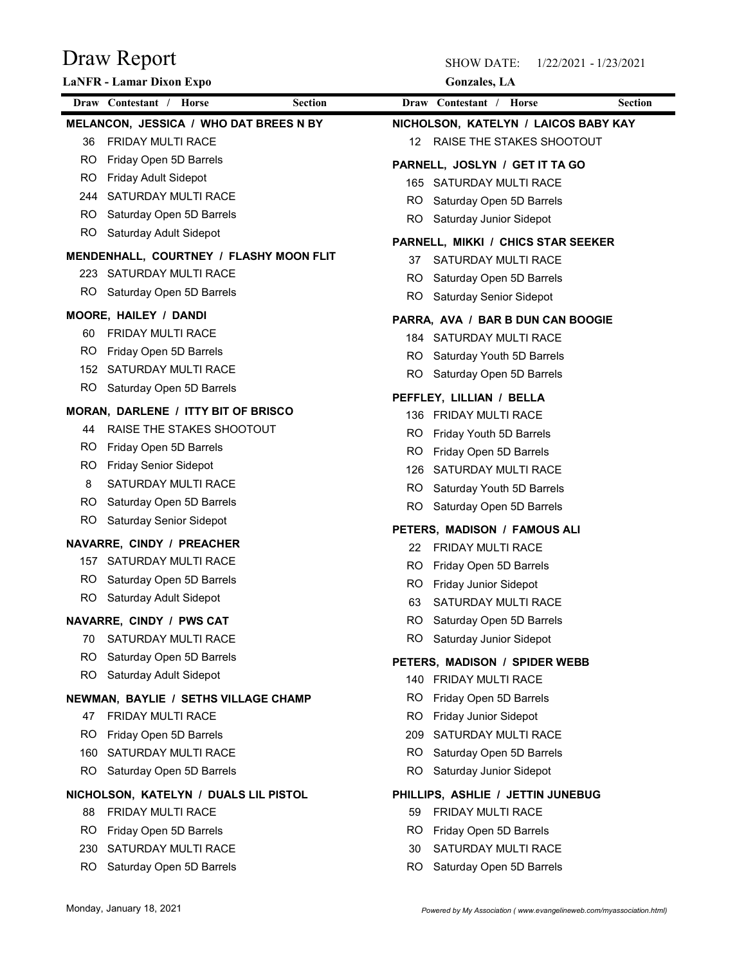| Draw Report                                               |                                                        | 1/22/2021 - 1/23/2021 |
|-----------------------------------------------------------|--------------------------------------------------------|-----------------------|
| LaNFR - Lamar Dixon Expo                                  | <b>Gonzales</b> , LA                                   |                       |
| Draw Contestant / Horse<br><b>Section</b>                 | Draw Contestant / Horse                                | <b>Section</b>        |
| MELANCON, JESSICA / WHO DAT BREES N BY                    | NICHOLSON, KATELYN / LAICOS BABY KAY                   |                       |
| <b>FRIDAY MULTI RACE</b><br>36                            | RAISE THE STAKES SHOOTOUT<br>12                        |                       |
| Friday Open 5D Barrels<br>RO.                             | PARNELL, JOSLYN / GET IT TA GO                         |                       |
| Friday Adult Sidepot<br>RO.                               | SATURDAY MULTI RACE<br>165                             |                       |
| SATURDAY MULTI RACE<br>244                                | Saturday Open 5D Barrels<br>RO.                        |                       |
| Saturday Open 5D Barrels<br>RO.                           | Saturday Junior Sidepot<br>RO.                         |                       |
| RO<br>Saturday Adult Sidepot                              | PARNELL, MIKKI / CHICS STAR SEEKER                     |                       |
| MENDENHALL, COURTNEY / FLASHY MOON FLIT                   | SATURDAY MULTI RACE<br>37                              |                       |
| 223 SATURDAY MULTI RACE                                   | Saturday Open 5D Barrels<br>RO.                        |                       |
| Saturday Open 5D Barrels<br>RO.                           | RO.<br>Saturday Senior Sidepot                         |                       |
|                                                           |                                                        |                       |
| MOORE, HAILEY / DANDI<br>FRIDAY MULTI RACE<br>60          | PARRA, AVA / BAR B DUN CAN BOOGIE                      |                       |
| RO.<br>Friday Open 5D Barrels                             | SATURDAY MULTI RACE<br>184                             |                       |
| SATURDAY MULTI RACE<br>152                                | Saturday Youth 5D Barrels<br>RO.                       |                       |
| RO.<br>Saturday Open 5D Barrels                           | RO.<br>Saturday Open 5D Barrels                        |                       |
|                                                           | PEFFLEY, LILLIAN / BELLA                               |                       |
| MORAN, DARLENE / ITTY BIT OF BRISCO                       | 136 FRIDAY MULTI RACE                                  |                       |
| RAISE THE STAKES SHOOTOUT<br>44                           | Friday Youth 5D Barrels<br>RO.                         |                       |
| Friday Open 5D Barrels<br>RO.                             | Friday Open 5D Barrels<br>RO.                          |                       |
| RO.<br><b>Friday Senior Sidepot</b>                       | SATURDAY MULTI RACE<br>126                             |                       |
| SATURDAY MULTI RACE<br>8                                  | Saturday Youth 5D Barrels<br>RO.                       |                       |
| RO.<br>Saturday Open 5D Barrels                           | Saturday Open 5D Barrels<br>RO.                        |                       |
| RO<br>Saturday Senior Sidepot                             | PETERS, MADISON / FAMOUS ALI                           |                       |
| NAVARRE, CINDY / PREACHER                                 | FRIDAY MULTI RACE<br>22                                |                       |
| SATURDAY MULTI RACE<br>157                                | RO.<br>Friday Open 5D Barrels                          |                       |
| Saturday Open 5D Barrels<br>RO.                           | RO.<br>Friday Junior Sidepot                           |                       |
| RO.<br>Saturday Adult Sidepot                             | SATURDAY MULTI RACE<br>63                              |                       |
| NAVARRE, CINDY / PWS CAT                                  | RO.<br>Saturday Open 5D Barrels                        |                       |
| SATURDAY MULTI RACE<br>70                                 | RO<br>Saturday Junior Sidepot                          |                       |
| RO.<br>Saturday Open 5D Barrels                           |                                                        |                       |
| RO<br>Saturday Adult Sidepot                              | PETERS, MADISON / SPIDER WEBB<br>140 FRIDAY MULTI RACE |                       |
|                                                           | Friday Open 5D Barrels<br>RO.                          |                       |
| NEWMAN, BAYLIE / SETHS VILLAGE CHAMP<br>FRIDAY MULTI RACE | RO.<br>Friday Junior Sidepot                           |                       |
| 47                                                        | SATURDAY MULTI RACE                                    |                       |
| Friday Open 5D Barrels<br>RO.                             | 209                                                    |                       |
| SATURDAY MULTI RACE<br>160                                | Saturday Open 5D Barrels<br>RO.                        |                       |
| Saturday Open 5D Barrels<br>RO.                           | RO.<br>Saturday Junior Sidepot                         |                       |
| NICHOLSON, KATELYN / DUALS LIL PISTOL                     | PHILLIPS, ASHLIE / JETTIN JUNEBUG                      |                       |
| FRIDAY MULTI RACE<br>88                                   | FRIDAY MULTI RACE<br>59                                |                       |
| Friday Open 5D Barrels<br>RO.                             | Friday Open 5D Barrels<br>RO.                          |                       |
| SATURDAY MULTI RACE<br>230                                | SATURDAY MULTI RACE<br>30                              |                       |
| Saturday Open 5D Barrels<br>RO.                           | Saturday Open 5D Barrels<br>RO.                        |                       |
|                                                           |                                                        |                       |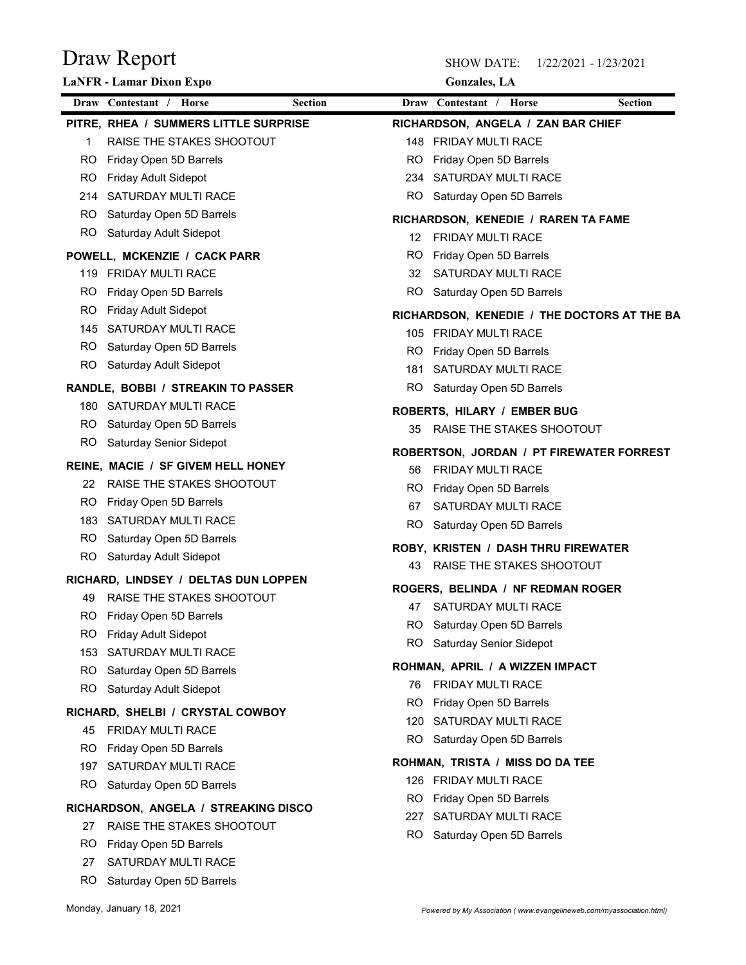|            | Draw Report                                           |            | <b>SHOW DATE:</b>                                        | 1/22/2021 - 1/23/2021 |
|------------|-------------------------------------------------------|------------|----------------------------------------------------------|-----------------------|
|            | LaNFR - Lamar Dixon Expo                              |            | <b>Gonzales</b> , LA                                     |                       |
|            | Draw Contestant / Horse<br><b>Section</b>             |            | Draw Contestant / Horse                                  | <b>Section</b>        |
|            | PITRE, RHEA / SUMMERS LITTLE SURPRISE                 |            | RICHARDSON, ANGELA / ZAN BAR CHIEF                       |                       |
| -1         | RAISE THE STAKES SHOOTOUT                             | 148        | <b>FRIDAY MULTI RACE</b>                                 |                       |
| RO.        | Friday Open 5D Barrels                                | RO         | Friday Open 5D Barrels                                   |                       |
| RO.        | Friday Adult Sidepot                                  | 234        | SATURDAY MULTI RACE                                      |                       |
|            | 214 SATURDAY MULTI RACE                               | RO         | Saturday Open 5D Barrels                                 |                       |
| RO.<br>RO. | Saturday Open 5D Barrels<br>Saturday Adult Sidepot    |            | RICHARDSON, KENEDIE / RAREN TA FAME                      |                       |
|            |                                                       | 12         | FRIDAY MULTI RACE                                        |                       |
|            | POWELL, MCKENZIE / CACK PARR<br>119 FRIDAY MULTI RACE | RO.<br>32  | Friday Open 5D Barrels<br>SATURDAY MULTI RACE            |                       |
| RO.        | Friday Open 5D Barrels                                | RO.        | Saturday Open 5D Barrels                                 |                       |
| RO.        | Friday Adult Sidepot                                  |            |                                                          |                       |
|            | 145 SATURDAY MULTI RACE                               |            | RICHARDSON, KENEDIE / THE DOCTORS AT THE BA              |                       |
| RO.        | Saturday Open 5D Barrels                              | RO.        | 105 FRIDAY MULTI RACE<br>Friday Open 5D Barrels          |                       |
| RO.        | Saturday Adult Sidepot                                | 181        | SATURDAY MULTI RACE                                      |                       |
|            | RANDLE, BOBBI / STREAKIN TO PASSER                    | RO.        | Saturday Open 5D Barrels                                 |                       |
|            | 180 SATURDAY MULTI RACE                               |            |                                                          |                       |
| RO.        | Saturday Open 5D Barrels                              | 35         | ROBERTS, HILARY / EMBER BUG<br>RAISE THE STAKES SHOOTOUT |                       |
| RO.        | Saturday Senior Sidepot                               |            |                                                          |                       |
|            | REINE, MACIE / SF GIVEM HELL HONEY                    |            | ROBERTSON, JORDAN / PT FIREWATER FORREST                 |                       |
| 22         | RAISE THE STAKES SHOOTOUT                             | 56         | FRIDAY MULTI RACE                                        |                       |
| RO.        | Friday Open 5D Barrels                                | RO.<br>67  | Friday Open 5D Barrels<br>SATURDAY MULTI RACE            |                       |
|            | 183 SATURDAY MULTI RACE                               | RO         | Saturday Open 5D Barrels                                 |                       |
| RO.        | Saturday Open 5D Barrels                              |            |                                                          |                       |
| RO.        | Saturday Adult Sidepot                                |            | ROBY, KRISTEN / DASH THRU FIREWATER                      |                       |
|            | RICHARD, LINDSEY / DELTAS DUN LOPPEN                  | 43         | RAISE THE STAKES SHOOTOUT                                |                       |
| 49         | RAISE THE STAKES SHOOTOUT                             |            | ROGERS, BELINDA / NF REDMAN ROGER                        |                       |
| RO.        | Friday Open 5D Barrels                                |            | 47 SATURDAY MULTI RACE                                   |                       |
| RO.        | Friday Adult Sidepot                                  | RO.<br>RO  | Saturday Open 5D Barrels                                 |                       |
| 153        | SATURDAY MULTI RACE                                   |            | <b>Saturday Senior Sidepot</b>                           |                       |
| RO.        | Saturday Open 5D Barrels                              |            | ROHMAN, APRIL / A WIZZEN IMPACT                          |                       |
| RO.        | Saturday Adult Sidepot                                | 76.        | FRIDAY MULTI RACE                                        |                       |
|            | RICHARD, SHELBI / CRYSTAL COWBOY                      | RO.        | Friday Open 5D Barrels                                   |                       |
| 45         | FRIDAY MULTI RACE                                     | 120<br>RO. | SATURDAY MULTI RACE<br>Saturday Open 5D Barrels          |                       |
| RO.        | Friday Open 5D Barrels                                |            |                                                          |                       |
| 197        | SATURDAY MULTI RACE                                   |            | ROHMAN, TRISTA / MISS DO DA TEE                          |                       |
| RO.        | Saturday Open 5D Barrels                              |            | 126 FRIDAY MULTI RACE                                    |                       |
|            | RICHARDSON, ANGELA / STREAKING DISCO                  | RO.<br>227 | Friday Open 5D Barrels<br>SATURDAY MULTI RACE            |                       |
| 27         | RAISE THE STAKES SHOOTOUT                             | RO.        | Saturday Open 5D Barrels                                 |                       |
| RO.        | Friday Open 5D Barrels                                |            |                                                          |                       |
| 27         | SATURDAY MULTI RACE                                   |            |                                                          |                       |
|            | RO Saturday Open 5D Barrels                           |            |                                                          |                       |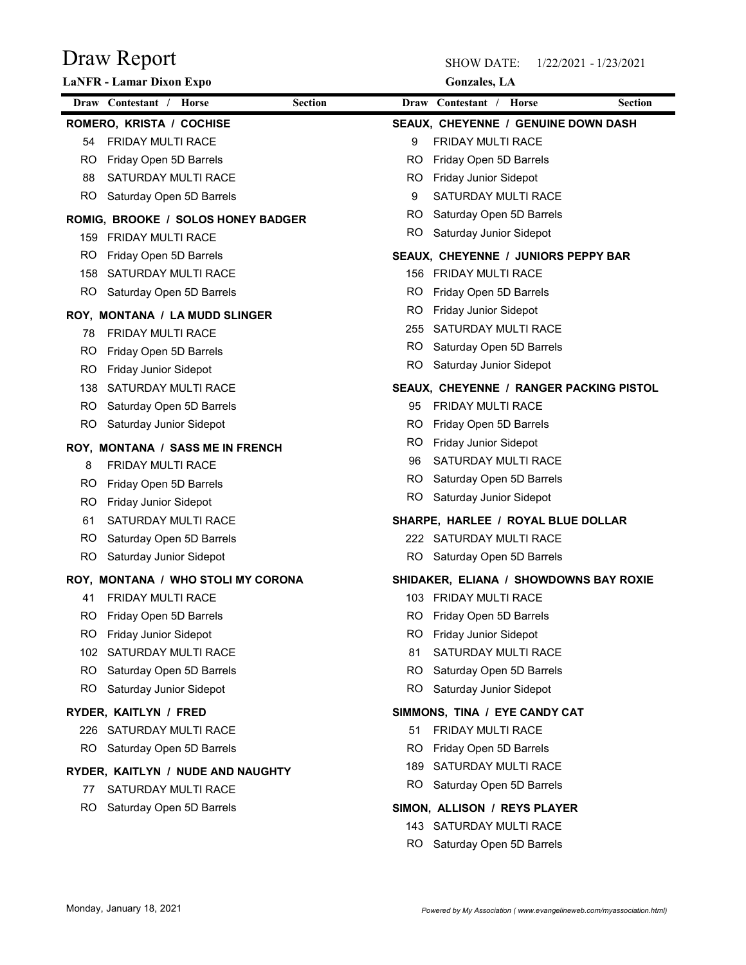| Gonzales, LA |  |  |
|--------------|--|--|
|              |  |  |

| Draw Report<br><b>LaNFR</b> - Lamar Dixon Expo                        |                | <b>SHOW DATE:</b><br><b>Gonzales</b> , LA              | 1/22/2021 - 1/23/2021 |
|-----------------------------------------------------------------------|----------------|--------------------------------------------------------|-----------------------|
| Draw Contestant / Horse                                               | <b>Section</b> | Draw Contestant / Horse                                | <b>Section</b>        |
| ROMERO, KRISTA / COCHISE                                              |                | SEAUX, CHEYENNE / GENUINE DOWN DASH                    |                       |
| <b>FRIDAY MULTI RACE</b><br>54                                        | 9              | FRIDAY MULTI RACE                                      |                       |
| Friday Open 5D Barrels<br>RO                                          | RO             | Friday Open 5D Barrels                                 |                       |
| SATURDAY MULTI RACE<br>88                                             | RO             | Friday Junior Sidepot                                  |                       |
| <b>RO</b><br>Saturday Open 5D Barrels                                 | 9              | SATURDAY MULTI RACE                                    |                       |
|                                                                       | RO.            | Saturday Open 5D Barrels                               |                       |
| ROMIG, BROOKE / SOLOS HONEY BADGER<br><b>FRIDAY MULTI RACE</b><br>159 | RO             | Saturday Junior Sidepot                                |                       |
| RO<br>Friday Open 5D Barrels                                          |                | SEAUX, CHEYENNE / JUNIORS PEPPY BAR                    |                       |
| SATURDAY MULTI RACE<br>158                                            | 156            | <b>FRIDAY MULTI RACE</b>                               |                       |
| RO.<br>Saturday Open 5D Barrels                                       | RO             | Friday Open 5D Barrels                                 |                       |
|                                                                       | RO             | Friday Junior Sidepot                                  |                       |
| ROY, MONTANA / LA MUDD SLINGER                                        | 255            | SATURDAY MULTI RACE                                    |                       |
| FRIDAY MULTI RACE<br>78                                               | RO.            | Saturday Open 5D Barrels                               |                       |
| RO.<br>Friday Open 5D Barrels                                         | <b>RO</b>      | Saturday Junior Sidepot                                |                       |
| Friday Junior Sidepot<br>RO.                                          |                |                                                        |                       |
| SATURDAY MULTI RACE<br>138                                            |                | SEAUX, CHEYENNE / RANGER PACKING PISTOL                |                       |
| <b>RO</b><br>Saturday Open 5D Barrels                                 | 95<br>RO.      | FRIDAY MULTI RACE                                      |                       |
| RO<br>Saturday Junior Sidepot                                         | RO.            | Friday Open 5D Barrels<br><b>Friday Junior Sidepot</b> |                       |
| ROY, MONTANA / SASS ME IN FRENCH                                      | 96             | SATURDAY MULTI RACE                                    |                       |
| FRIDAY MULTI RACE<br>8                                                | RO.            | Saturday Open 5D Barrels                               |                       |
| Friday Open 5D Barrels<br>RO.                                         | RO             | Saturday Junior Sidepot                                |                       |
| Friday Junior Sidepot<br>RO.                                          |                |                                                        |                       |
| SATURDAY MULTI RACE<br>61                                             |                | SHARPE, HARLEE / ROYAL BLUE DOLLAR                     |                       |
| RO.<br>Saturday Open 5D Barrels                                       |                | 222 SATURDAY MULTI RACE                                |                       |
| RO.<br>Saturday Junior Sidepot                                        | RO.            | Saturday Open 5D Barrels                               |                       |
| ROY, MONTANA / WHO STOLI MY CORONA                                    |                | SHIDAKER, ELIANA / SHOWDOWNS BAY ROXIE                 |                       |
| FRIDAY MULTI RACE<br>41                                               |                | 103 FRIDAY MULTI RACE                                  |                       |
| Friday Open 5D Barrels<br>RO.                                         | RO.            | Friday Open 5D Barrels                                 |                       |
| Friday Junior Sidepot<br>RO.                                          | RO.            | <b>Friday Junior Sidepot</b>                           |                       |
| SATURDAY MULTI RACE<br>102                                            | 81             | SATURDAY MULTI RACE                                    |                       |
| RO<br>Saturday Open 5D Barrels                                        | RO.            | Saturday Open 5D Barrels                               |                       |
| RO.<br>Saturday Junior Sidepot                                        | RO.            | Saturday Junior Sidepot                                |                       |
| RYDER, KAITLYN / FRED                                                 |                | SIMMONS, TINA / EYE CANDY CAT                          |                       |
| SATURDAY MULTI RACE<br>226                                            | 51             | FRIDAY MULTI RACE                                      |                       |
| Saturday Open 5D Barrels<br>RO.                                       | RO.            | Friday Open 5D Barrels                                 |                       |
| RYDER, KAITLYN / NUDE AND NAUGHTY                                     | 189            | SATURDAY MULTI RACE                                    |                       |
| SATURDAY MULTI RACE<br>77                                             | RO.            | Saturday Open 5D Barrels                               |                       |
| Saturday Open 5D Barrels<br>RO.                                       |                | SIMON, ALLISON / REYS PLAYER                           |                       |
|                                                                       |                | 143 SATURDAY MULTI RACE                                |                       |
|                                                                       | RO.            | Saturday Open 5D Barrels                               |                       |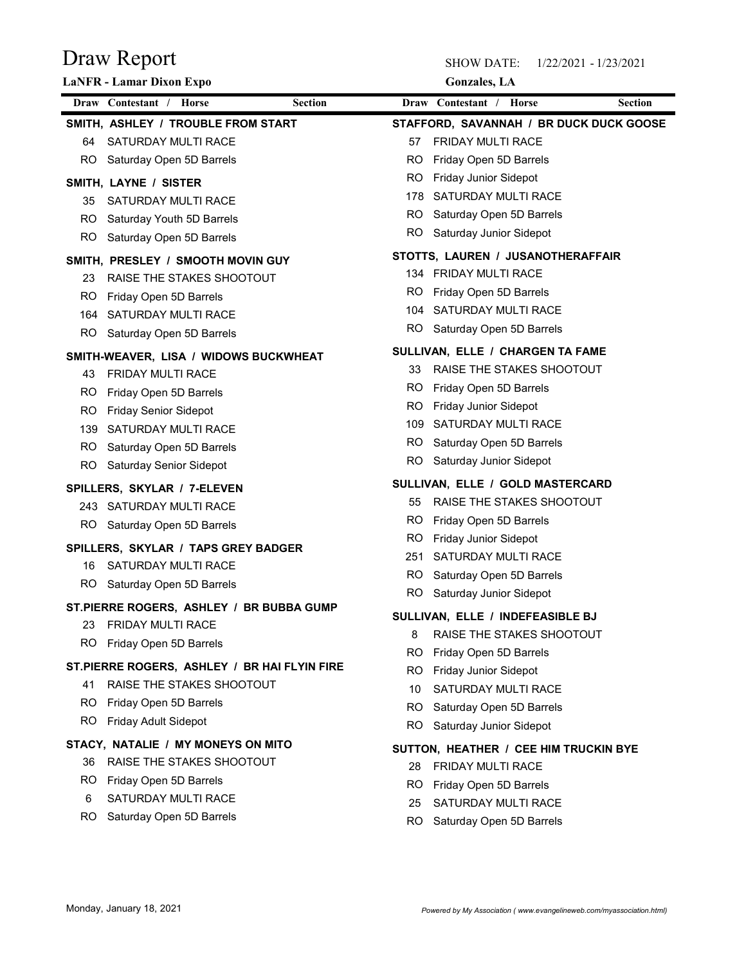| Draw Report                                  | <b>SHOW DATE:</b><br>1/22/2021 - 1/23/2021 |
|----------------------------------------------|--------------------------------------------|
| <b>LaNFR</b> - Lamar Dixon Expo              | <b>Gonzales</b> , LA                       |
| Draw Contestant / Horse                      | Draw Contestant / Horse                    |
| <b>Section</b>                               | <b>Section</b>                             |
| SMITH, ASHLEY / TROUBLE FROM START           | STAFFORD, SAVANNAH / BR DUCK DUCK GOOSE    |
| SATURDAY MULTI RACE                          | FRIDAY MULTI RACE                          |
| 64                                           | 57                                         |
| Saturday Open 5D Barrels                     | Friday Open 5D Barrels                     |
| RO.                                          | RO                                         |
| SMITH, LAYNE / SISTER                        | Friday Junior Sidepot<br>RO                |
| SATURDAY MULTI RACE                          | SATURDAY MULTI RACE                        |
| 35                                           | 178                                        |
| Saturday Youth 5D Barrels                    | Saturday Open 5D Barrels                   |
| RO.                                          | RO                                         |
| Saturday Open 5D Barrels                     | Saturday Junior Sidepot                    |
| RO                                           | RO                                         |
| SMITH, PRESLEY / SMOOTH MOVIN GUY            | STOTTS, LAUREN / JUSANOTHERAFFAIR          |
| RAISE THE STAKES SHOOTOUT                    | FRIDAY MULTI RACE                          |
| 23                                           | 134                                        |
| RO                                           | Friday Open 5D Barrels                     |
| Friday Open 5D Barrels                       | RO                                         |
| SATURDAY MULTI RACE                          | SATURDAY MULTI RACE                        |
| 164                                          | 104                                        |
| RO Saturday Open 5D Barrels                  | <b>RO</b><br>Saturday Open 5D Barrels      |
| SMITH-WEAVER, LISA / WIDOWS BUCKWHEAT        | SULLIVAN, ELLE / CHARGEN TA FAME           |
| <b>FRIDAY MULTI RACE</b>                     | RAISE THE STAKES SHOOTOUT                  |
| 43                                           | 33                                         |
| RO.                                          | Friday Open 5D Barrels                     |
| Friday Open 5D Barrels                       | RO                                         |
| <b>RO</b>                                    | RO                                         |
| <b>Friday Senior Sidepot</b>                 | Friday Junior Sidepot                      |
| SATURDAY MULTI RACE                          | SATURDAY MULTI RACE                        |
| 139                                          | 109                                        |
| Saturday Open 5D Barrels                     | Saturday Open 5D Barrels                   |
| RO.                                          | RO                                         |
| <b>RO</b>                                    | Saturday Junior Sidepot                    |
| <b>Saturday Senior Sidepot</b>               | RO                                         |
| SPILLERS, SKYLAR / 7-ELEVEN                  | SULLIVAN, ELLE / GOLD MASTERCARD           |
| 243 SATURDAY MULTI RACE                      | RAISE THE STAKES SHOOTOUT<br>55            |
| Saturday Open 5D Barrels                     | Friday Open 5D Barrels                     |
| RO.                                          | RO                                         |
|                                              | RO<br>Friday Junior Sidepot                |
| SPILLERS, SKYLAR / TAPS GREY BADGER          | SATURDAY MULTI RACE                        |
| 16 SATURDAY MULTI RACE                       | 251                                        |
| RO.                                          | Saturday Open 5D Barrels                   |
| Saturday Open 5D Barrels                     | RO.                                        |
|                                              | RO<br>Saturday Junior Sidepot              |
| ST.PIERRE ROGERS, ASHLEY / BR BUBBA GUMP     | SULLIVAN, ELLE / INDEFEASIBLE BJ           |
| FRIDAY MULTI RACE                            | RAISE THE STAKES SHOOTOUT                  |
| 23                                           | 8                                          |
| RO.                                          | Friday Open 5D Barrels                     |
| Friday Open 5D Barrels                       | RO                                         |
| ST.PIERRE ROGERS, ASHLEY / BR HAI FLYIN FIRE | RO<br>Friday Junior Sidepot                |
| RAISE THE STAKES SHOOTOUT                    | SATURDAY MULTI RACE                        |
| 41                                           | 10                                         |
| Friday Open 5D Barrels                       | RO                                         |
| RO.                                          | Saturday Open 5D Barrels                   |
| RO.                                          | RO.                                        |
| Friday Adult Sidepot                         | Saturday Junior Sidepot                    |
| STACY, NATALIE / MY MONEYS ON MITO           | SUTTON, HEATHER / CEE HIM TRUCKIN BYE      |
| RAISE THE STAKES SHOOTOUT                    | FRIDAY MULTI RACE                          |
| 36                                           | 28                                         |
| Friday Open 5D Barrels                       | Friday Open 5D Barrels                     |
| RO.                                          | <b>RO</b>                                  |
| SATURDAY MULTI RACE                          | SATURDAY MULTI RACE                        |
| 6                                            | 25                                         |
| Saturday Open 5D Barrels                     | RO                                         |
| RO.                                          | Saturday Open 5D Barrels                   |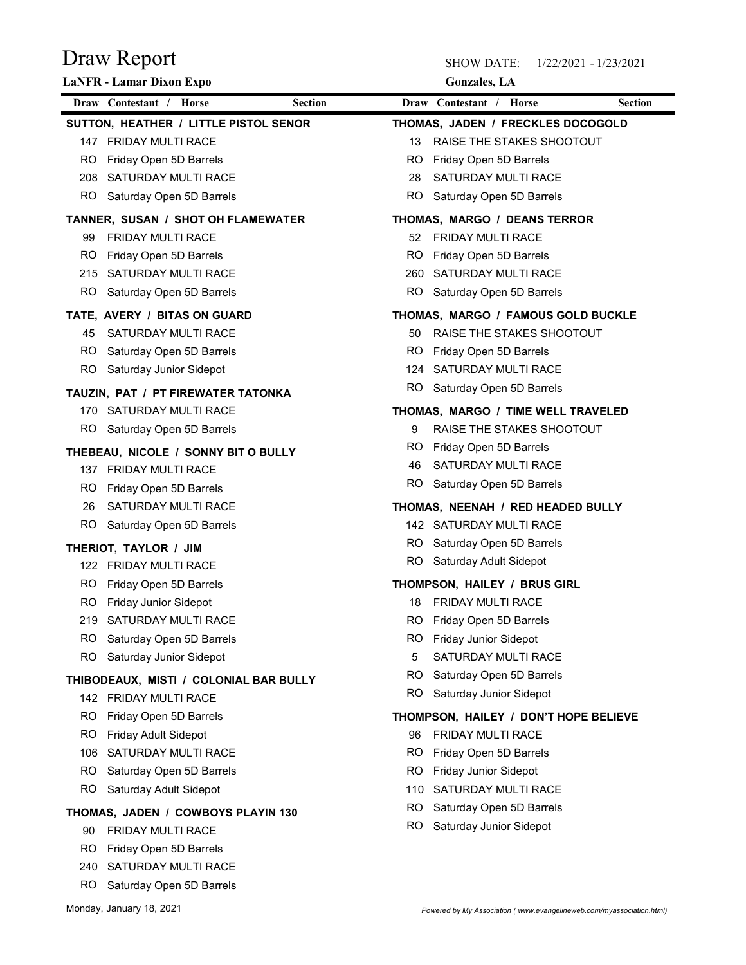| Draw Report                                                   |                |           | <b>SHOW DATE:</b>                                                  | 1/22/2021 - 1/23/2021 |
|---------------------------------------------------------------|----------------|-----------|--------------------------------------------------------------------|-----------------------|
| LaNFR - Lamar Dixon Expo                                      |                |           | <b>Gonzales</b> , LA                                               |                       |
| Draw Contestant / Horse                                       | <b>Section</b> |           | Draw Contestant / Horse                                            | <b>Section</b>        |
| SUTTON, HEATHER / LITTLE PISTOL SENOR                         |                |           | THOMAS, JADEN / FRECKLES DOCOGOLD                                  |                       |
| 147 FRIDAY MULTI RACE                                         |                | 13        | RAISE THE STAKES SHOOTOUT                                          |                       |
| Friday Open 5D Barrels<br>RO.                                 |                | RO        | Friday Open 5D Barrels                                             |                       |
| SATURDAY MULTI RACE<br>208<br>RO.<br>Saturday Open 5D Barrels |                | 28<br>RO. | SATURDAY MULTI RACE<br>Saturday Open 5D Barrels                    |                       |
|                                                               |                |           |                                                                    |                       |
| TANNER, SUSAN / SHOT OH FLAMEWATER                            |                |           | THOMAS, MARGO / DEANS TERROR                                       |                       |
| FRIDAY MULTI RACE<br>99<br>RO.                                |                | 52<br>RO. | FRIDAY MULTI RACE                                                  |                       |
| Friday Open 5D Barrels<br>SATURDAY MULTI RACE<br>215          |                | 260       | Friday Open 5D Barrels<br>SATURDAY MULTI RACE                      |                       |
| RO.<br>Saturday Open 5D Barrels                               |                | RO.       | Saturday Open 5D Barrels                                           |                       |
|                                                               |                |           |                                                                    |                       |
| TATE, AVERY / BITAS ON GUARD<br>SATURDAY MULTI RACE           |                |           | THOMAS, MARGO / FAMOUS GOLD BUCKLE<br>50 RAISE THE STAKES SHOOTOUT |                       |
| RO.<br>Saturday Open 5D Barrels                               |                | RO.       | Friday Open 5D Barrels                                             |                       |
| RO.<br>Saturday Junior Sidepot                                |                | 124       | SATURDAY MULTI RACE                                                |                       |
| TAUZIN, PAT / PT FIREWATER TATONKA                            |                | RO.       | Saturday Open 5D Barrels                                           |                       |
| 170 SATURDAY MULTI RACE                                       |                |           | THOMAS, MARGO / TIME WELL TRAVELED                                 |                       |
| Saturday Open 5D Barrels<br>RO.                               |                | 9         | RAISE THE STAKES SHOOTOUT                                          |                       |
| THEBEAU, NICOLE / SONNY BIT O BULLY                           |                | RO.       | Friday Open 5D Barrels                                             |                       |
| 137 FRIDAY MULTI RACE                                         |                | 46        | SATURDAY MULTI RACE                                                |                       |
| Friday Open 5D Barrels<br>RO.                                 |                | RO.       | Saturday Open 5D Barrels                                           |                       |
| SATURDAY MULTI RACE<br>26                                     |                |           | THOMAS, NEENAH / RED HEADED BULLY                                  |                       |
| Saturday Open 5D Barrels<br>RO.                               |                |           | 142 SATURDAY MULTI RACE                                            |                       |
| THERIOT, TAYLOR / JIM                                         |                | RO.       | Saturday Open 5D Barrels                                           |                       |
| 122 FRIDAY MULTI RACE                                         |                | RO.       | Saturday Adult Sidepot                                             |                       |
| RO.<br>Friday Open 5D Barrels                                 |                |           | THOMPSON, HAILEY / BRUS GIRL                                       |                       |
| RO.<br>Friday Junior Sidepot                                  |                | 18        | FRIDAY MULTI RACE                                                  |                       |
| SATURDAY MULTI RACE<br>219                                    |                | RO.       | Friday Open 5D Barrels                                             |                       |
| RO.<br>Saturday Open 5D Barrels                               |                | RO.       | Friday Junior Sidepot                                              |                       |
| <b>RO</b><br>Saturday Junior Sidepot                          |                | 5         | SATURDAY MULTI RACE                                                |                       |
| THIBODEAUX, MISTI / COLONIAL BAR BULLY                        |                | RO.       | Saturday Open 5D Barrels                                           |                       |
| 142 FRIDAY MULTI RACE                                         |                | RO.       | Saturday Junior Sidepot                                            |                       |
| RO.<br>Friday Open 5D Barrels                                 |                |           | THOMPSON, HAILEY / DON'T HOPE BELIEVE                              |                       |
| RO.<br>Friday Adult Sidepot                                   |                | 96        | FRIDAY MULTI RACE                                                  |                       |
| SATURDAY MULTI RACE<br>106                                    |                | RO.       | Friday Open 5D Barrels                                             |                       |
| Saturday Open 5D Barrels<br>RO.                               |                | RO.       | Friday Junior Sidepot                                              |                       |
| RO.<br>Saturday Adult Sidepot                                 |                | 110       | SATURDAY MULTI RACE                                                |                       |
| THOMAS, JADEN / COWBOYS PLAYIN 130                            |                | RO.       | Saturday Open 5D Barrels                                           |                       |
| FRIDAY MULTI RACE<br>90                                       |                | RO.       | Saturday Junior Sidepot                                            |                       |
| Friday Open 5D Barrels<br>RO.                                 |                |           |                                                                    |                       |
| 240 SATURDAY MULTI RACE                                       |                |           |                                                                    |                       |
| RO Saturday Open 5D Barrels                                   |                |           |                                                                    |                       |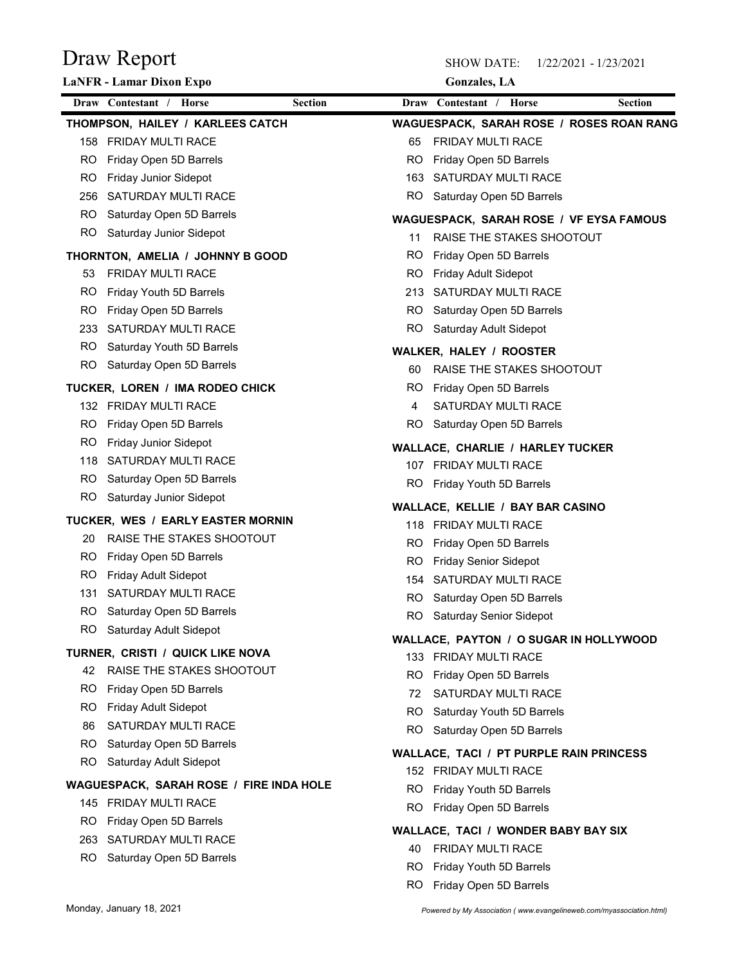| Draw Report                                                | <b>SHOW DATE:</b>                                                    | 1/22/2021 - 1/23/2021 |
|------------------------------------------------------------|----------------------------------------------------------------------|-----------------------|
| LaNFR - Lamar Dixon Expo                                   | <b>Gonzales</b> , LA                                                 |                       |
| Draw Contestant / Horse<br><b>Section</b>                  | Draw Contestant / Horse                                              | <b>Section</b>        |
| THOMPSON, HAILEY / KARLEES CATCH                           | <b>WAGUESPACK, SARAH ROSE / ROSES ROAN RANG</b>                      |                       |
| <b>FRIDAY MULTI RACE</b><br>158                            | FRIDAY MULTI RACE<br>65                                              |                       |
| Friday Open 5D Barrels<br>RO.                              | Friday Open 5D Barrels<br>RO                                         |                       |
| <b>RO</b><br>Friday Junior Sidepot                         | SATURDAY MULTI RACE<br>163                                           |                       |
| SATURDAY MULTI RACE<br>256                                 | <b>RO</b><br>Saturday Open 5D Barrels                                |                       |
| Saturday Open 5D Barrels<br><b>RO</b>                      | <b>WAGUESPACK, SARAH ROSE / VF EYSA FAMOUS</b>                       |                       |
| RO<br>Saturday Junior Sidepot                              | RAISE THE STAKES SHOOTOUT<br>11                                      |                       |
| THORNTON, AMELIA / JOHNNY B GOOD                           | RO<br>Friday Open 5D Barrels                                         |                       |
| FRIDAY MULTI RACE<br>53                                    | Friday Adult Sidepot<br>RO                                           |                       |
| RO<br>Friday Youth 5D Barrels                              | SATURDAY MULTI RACE<br>213                                           |                       |
| RO<br>Friday Open 5D Barrels<br>233<br>SATURDAY MULTI RACE | RO<br>Saturday Open 5D Barrels<br>RO.<br>Saturday Adult Sidepot      |                       |
| Saturday Youth 5D Barrels<br>RO.                           |                                                                      |                       |
| RO.<br>Saturday Open 5D Barrels                            | <b>WALKER, HALEY / ROOSTER</b>                                       |                       |
|                                                            | RAISE THE STAKES SHOOTOUT<br>60                                      |                       |
| TUCKER, LOREN / IMA RODEO CHICK                            | Friday Open 5D Barrels<br>RO<br>SATURDAY MULTI RACE                  |                       |
| 132 FRIDAY MULTI RACE<br>RO.<br>Friday Open 5D Barrels     | 4<br>Saturday Open 5D Barrels<br>RO.                                 |                       |
| RO.<br><b>Friday Junior Sidepot</b>                        |                                                                      |                       |
| SATURDAY MULTI RACE<br>118                                 | <b>WALLACE, CHARLIE / HARLEY TUCKER</b>                              |                       |
| Saturday Open 5D Barrels<br>RO.                            | 107 FRIDAY MULTI RACE<br>RO.                                         |                       |
| <b>RO</b><br>Saturday Junior Sidepot                       | Friday Youth 5D Barrels                                              |                       |
| TUCKER, WES / EARLY EASTER MORNIN                          | WALLACE, KELLIE / BAY BAR CASINO                                     |                       |
| RAISE THE STAKES SHOOTOUT<br>20                            | 118 FRIDAY MULTI RACE                                                |                       |
| RO.<br>Friday Open 5D Barrels                              | Friday Open 5D Barrels<br>RO.<br><b>Friday Senior Sidepot</b><br>RO. |                       |
| RO.<br>Friday Adult Sidepot                                | SATURDAY MULTI RACE<br>154                                           |                       |
| SATURDAY MULTI RACE<br>131                                 | Saturday Open 5D Barrels<br>RO.                                      |                       |
| <b>RO</b><br>Saturday Open 5D Barrels                      | Saturday Senior Sidepot<br>RO.                                       |                       |
| <b>RO</b><br>Saturday Adult Sidepot                        | WALLACE, PAYTON / O SUGAR IN HOLLYWOOD                               |                       |
| TURNER, CRISTI / QUICK LIKE NOVA                           | 133 FRIDAY MULTI RACE                                                |                       |
| RAISE THE STAKES SHOOTOUT<br>42                            | Friday Open 5D Barrels<br>RO.                                        |                       |
| RO.<br>Friday Open 5D Barrels                              | SATURDAY MULTI RACE<br>72                                            |                       |
| <b>RO</b><br>Friday Adult Sidepot                          | RO<br>Saturday Youth 5D Barrels                                      |                       |
| SATURDAY MULTI RACE<br>86                                  | <b>RO</b><br>Saturday Open 5D Barrels                                |                       |
| <b>RO</b><br>Saturday Open 5D Barrels                      | <b>WALLACE, TACI / PT PURPLE RAIN PRINCESS</b>                       |                       |
| <b>RO</b><br>Saturday Adult Sidepot                        | 152 FRIDAY MULTI RACE                                                |                       |
| WAGUESPACK, SARAH ROSE / FIRE INDA HOLE                    | Friday Youth 5D Barrels<br>RO.                                       |                       |
| 145 FRIDAY MULTI RACE                                      | Friday Open 5D Barrels<br>RO.                                        |                       |
| Friday Open 5D Barrels<br>RO.                              | WALLACE, TACI / WONDER BABY BAY SIX                                  |                       |
| SATURDAY MULTI RACE<br>263                                 | FRIDAY MULTI RACE<br>40                                              |                       |
| RO.<br>Saturday Open 5D Barrels                            | Friday Youth 5D Barrels<br>RO.                                       |                       |
|                                                            | RO Friday Open 5D Barrels                                            |                       |
|                                                            |                                                                      |                       |

Monday, January 18, 2021 Monday, January 18, 2021